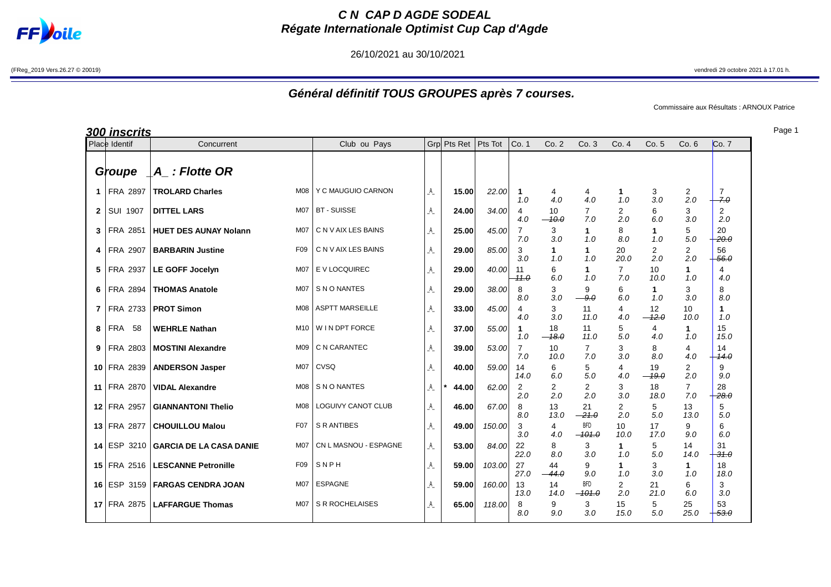

## **C N CAP D AGDE SODEAL Régate Internationale Optimist Cup Cap d'Agde**

26/10/2021 au 30/10/2021

(FReg\_2019 Vers.26.27 © 20019) vendredi 29 octobre 2021 à 17.01 h.

## **Général définitif TOUS GROUPES après 7 courses.**

Commissaire aux Résultats : ARNOUX Patrice

Page 1

|                | <b>300 inscrits</b> |                                |                  |                        |                |             |         |                       |                     |                        |                       |                       |                       |                          |
|----------------|---------------------|--------------------------------|------------------|------------------------|----------------|-------------|---------|-----------------------|---------------------|------------------------|-----------------------|-----------------------|-----------------------|--------------------------|
|                | Place Identif       | Concurrent                     |                  | Club ou Pays           |                | Grp Pts Ret | Pts Tot | Co. 1                 | Co.2                | Co.3                   | Co. 4                 | Co. 5                 | Co.6                  | Co. 7                    |
|                | Groupe              | $ A $ : Flotte OR              |                  |                        |                |             |         |                       |                     |                        |                       |                       |                       |                          |
| $\mathbf{1}$   | <b>FRA 2897</b>     | <b>TROLARD Charles</b>         | <b>M08</b>       | Y C MAUGUIO CARNON     | A              | 15.00       | 22.00   | 1<br>1.0              | 4<br>4.0            | 4<br>4.0               | 1<br>1.0              | 3<br>3.0              | 2<br>2.0              | $\overline{7}$<br>$-7.0$ |
| $\mathbf{2}$   | SUI 1907            | <b>DITTEL LARS</b>             | <b>M07</b>       | <b>BT - SUISSE</b>     | A              | 24.00       | 34.00   | 4<br>4.0              | 10<br>$-40.0$       | $\overline{7}$<br>7.0  | $\overline{2}$<br>2.0 | 6<br>6.0              | 3<br>3.0              | 2<br>2.0                 |
| 3              | FRA 2851            | <b>HUET DES AUNAY Nolann</b>   | <b>M07</b>       | C N V AIX LES BAINS    | A              | 25.00       | 45.00   | $\overline{7}$<br>7.0 | 3<br>3.0            | $\mathbf{1}$<br>1.0    | 8<br>8.0              | 1<br>1.0              | 5<br>5.0              | 20<br>$-20.0$            |
| 4              | FRA 2907            | <b>BARBARIN Justine</b>        | F <sub>09</sub>  | C N V AIX LES BAINS    | A              | 29.00       | 85.00   | 3<br>3.0              | $\mathbf{1}$<br>1.0 | $\mathbf{1}$<br>1.0    | 20<br>20.0            | $\overline{2}$<br>2.0 | 2<br>2.0              | 56<br>56.0               |
| 5              | FRA 2937            | LE GOFF Jocelyn                | <b>M07</b>       | E V LOCQUIREC          | A              | 29.00       | 40.00   | -11<br>$-11.0$        | 6<br>6.0            | 1<br>1.0               | $\overline{7}$<br>7.0 | 10<br>10.0            | 1<br>1.0              | 4<br>4.0                 |
| 6              | <b>FRA 2894</b>     | <b>THOMAS Anatole</b>          | M <sub>0</sub> 7 | S N O NANTES           | A              | 29.00       | 38.00   | 8<br>8.0              | 3<br>3.0            | 9<br>$-9.0$            | 6<br>6.0              | 1<br>1.0              | 3<br>3.0              | 8<br>8.0                 |
| $\overline{7}$ | FRA 2733            | <b>PROT Simon</b>              | <b>M08</b>       | <b>ASPTT MARSEILLE</b> | A              | 33.00       | 45.00   | 4<br>4.0              | 3<br>3.0            | 11<br>11.0             | 4<br>4.0              | 12<br>$-42.0$         | 10<br>10.0            | 1<br>1.0                 |
| 8              | <b>FRA</b><br>58    | <b>WEHRLE Nathan</b>           | M <sub>10</sub>  | W I N DPT FORCE        | A              | 37.00       | 55.00   | 1<br>1.0              | 18<br>$-18.0$       | 11<br>11.0             | 5<br>5.0              | 4<br>4.0              | 1<br>1.0              | 15<br>15.0               |
| 9              | FRA 2803            | <b>MOSTINI Alexandre</b>       | M09              | C N CARANTEC           | A              | 39.00       | 53.00   | $\overline{7}$<br>7.0 | 10<br>10.0          | $\overline{7}$<br>7.0  | 3<br>3.0              | 8<br>8.0              | 4<br>4.0              | 14<br>14.0               |
|                | 10 FRA 2839         | <b>ANDERSON Jasper</b>         | <b>M07</b>       | CVSQ                   | A              | 40.00       | 59.00   | 14<br>14.0            | 6<br>6.0            | 5<br>5.0               | 4<br>4.0              | 19<br>$-19.0$         | 2<br>2.0              | 9<br>9.0                 |
| 11             | <b>FRA 2870</b>     | <b>VIDAL Alexandre</b>         | <b>M08</b>       | S N O NANTES           | A              | 44.00       | 62.00   | $\overline{2}$<br>2.0 | 2<br>2.0            | 2<br>2.0               | 3<br>3.0              | 18<br>18.0            | $\overline{7}$<br>7.0 | 28<br>$-28.0$            |
|                | 12 FRA 2957         | <b>GIANNANTONI Thelio</b>      | <b>M08</b>       | LOGUIVY CANOT CLUB     | A              | 46.00       | 67.00   | 8<br>8.0              | 13<br>13.0          | 21<br>$-21.0$          | 2<br>2.0              | 5<br>5.0              | 13<br>13.0            | 5<br>5.0                 |
|                | 13 FRA 2877         | <b>CHOUILLOU Malou</b>         | F07              | <b>S R ANTIBES</b>     | A              | 49.00       | 150.00  | 3<br>3.0              | 4<br>4.0            | <b>BFD</b><br>$-101.0$ | 10<br>10.0            | 17<br>17.0            | 9<br>9.0              | 6<br>6.0                 |
|                | $14$ ESP<br>3210    | <b>GARCIA DE LA CASA DANIE</b> | M07              | CN L MASNOU - ESPAGNE  | A              | 53.00       | 84.00   | 22<br>22.0            | 8<br>8.0            | 3<br>3.0               | $\mathbf{1}$<br>1.0   | 5<br>5.0              | 14<br>14.0            | 31<br>$-31.0$            |
|                | 15 FRA 2516         | <b>LESCANNE Petronille</b>     | F <sub>09</sub>  | SNPH                   | A              | 59.00       | 103.00  | 27<br>27.0            | 44<br>$-44.0$       | 9<br>9.0               | $\mathbf{1}$<br>1.0   | 3<br>3.0              | $\mathbf{1}$<br>1.0   | 18<br>18.0               |
|                | 16 ESP 3159         | <b>FARGAS CENDRA JOAN</b>      | <b>M07</b>       | <b>ESPAGNE</b>         | A              | 59.00       | 160.00  | 13<br>13.0            | 14<br>14.0          | <b>BFD</b><br>$-101.0$ | $\overline{2}$<br>2.0 | 21<br>21.0            | 6<br>6.0              | 3<br>3.0                 |
|                | 17 FRA 2875         | <b>LAFFARGUE Thomas</b>        | M07              | S R ROCHELAISES        | $\mathsf{A}\,$ | 65.00       | 118.00  | 8<br>8.0              | 9<br>9.0            | 3<br>3.0               | 15<br>15.0            | 5<br>5.0              | 25<br>25.0            | 53<br>$-53.0$            |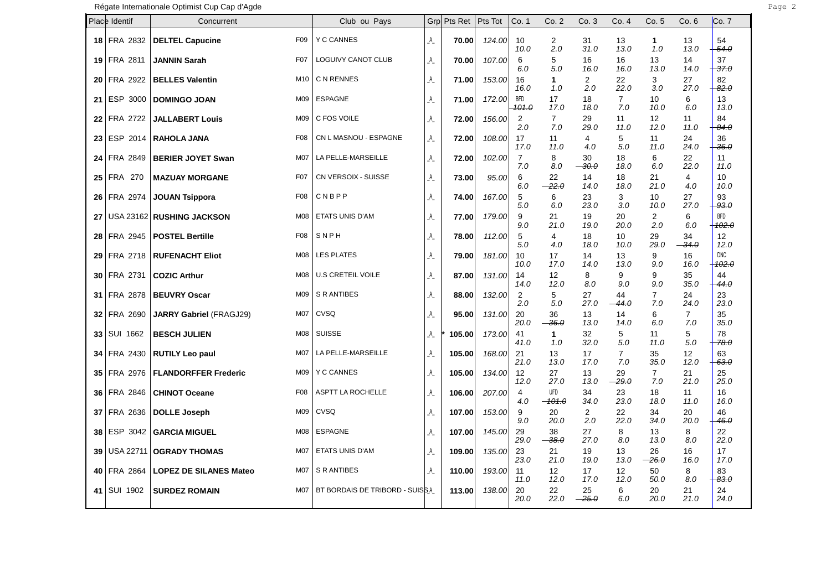|    | Place Identif    | Concurrent                     |                  | Club ou Pays                   | Grp                       | Pts Ret | Pts Tot | Co. 1                   | Co. 2                     | Co.3                         | Co. 4                 | Co. 5                 | Co. 6                 | Co. 7                    |
|----|------------------|--------------------------------|------------------|--------------------------------|---------------------------|---------|---------|-------------------------|---------------------------|------------------------------|-----------------------|-----------------------|-----------------------|--------------------------|
|    | 18 FRA 2832      | <b>DELTEL Capucine</b>         | F <sub>09</sub>  | <b>Y C CANNES</b>              | A                         | 70.00   | 124.00  | 10<br>10.0              | $\overline{c}$<br>2.0     | 31<br>31.0                   | 13<br>13.0            | $\mathbf{1}$<br>1.0   | 13<br>13.0            | 54<br>54.0               |
|    | 19 FRA 2811      | <b>JANNIN Sarah</b>            | F07              | LOGUIVY CANOT CLUB             | A                         | 70.00   | 107.00  | 6<br>6.0                | 5<br>5.0                  | 16<br>16.0                   | 16<br>16.0            | 13<br>13.0            | 14<br>14.0            | 37<br><del>37.0</del>    |
| 20 | FRA 2922         | <b>BELLES Valentin</b>         | M10              | C N RENNES                     | A                         | 71.00   | 153.00  | 16<br>16.0              | $\mathbf 1$<br>1.0        | $\overline{2}$<br>2.0        | 22<br>22.0            | 3<br>3.0              | 27<br>27.0            | 82<br>$-82.0$            |
|    | 21 ESP 3000      | <b>DOMINGO JOAN</b>            | M09              | <b>ESPAGNE</b>                 | A                         | 71.00   | 172.00  | <b>BFD</b>              | 17                        | 18                           | $\overline{7}$        | 10                    | 6                     | 13                       |
|    | 22 FRA 2722      | <b>JALLABERT Louis</b>         | M09              | C FOS VOILE                    | A                         | 72.00   | 156.00  | <del>101.0</del><br>2   | 17.0<br>$\overline{7}$    | 18.0<br>29                   | 7.0<br>11             | 10.0<br>12            | 6.0<br>11             | 13.0<br>84               |
|    | 23 ESP 2014      | <b>RAHOLA JANA</b>             | F08              | CN L MASNOU - ESPAGNE          | A                         | 72.00   | 108.00  | 2.0<br>17<br>17.0       | 7.0<br>11<br>11.0         | 29.0<br>4<br>4.0             | 11.0<br>5<br>5.0      | 12.0<br>11<br>11.0    | 11.0<br>24<br>24.0    | $+84.0$<br>36<br>$+36.0$ |
|    | 24 FRA 2849      | <b>BERIER JOYET Swan</b>       | M07              | LA PELLE-MARSEILLE             | A                         | 72.00   | 102.00  | $\overline{7}$<br>7.0   | 8<br>8.0                  | 30<br>$\rightarrowtail 30.0$ | 18<br>18.0            | 6<br>6.0              | 22<br>22.0            | 11<br>11.0               |
|    | 25 FRA 270       | <b>MAZUAY MORGANE</b>          | F <sub>0</sub> 7 | CN VERSOIX - SUISSE            | A                         | 73.00   | 95.00   | 6<br>6.0                | 22<br>$-22.0$             | 14<br>14.0                   | 18<br>18.0            | 21<br>21.0            | 4<br>4.0              | 10<br>10.0               |
|    | 26 FRA 2974      | <b>JOUAN Tsippora</b>          | F08              | CNBPP                          | A                         | 74.00   | 167.00  | 5<br>5.0                | 6<br>6.0                  | 23<br>23.0                   | 3<br>3.0              | 10<br>10.0            | 27<br>27.0            | 93<br>93.0               |
|    |                  | 27 USA 23162 RUSHING JACKSON   | M08              | <b>ETATS UNIS D'AM</b>         | A                         | 77.00   | 179.00  | 9<br>9.0                | 21<br>21.0                | 19<br>19.0                   | 20<br>20.0            | $\overline{2}$<br>2.0 | 6<br>6.0              | <b>BFD</b><br>102.0      |
|    | 28 FRA 2945      | <b>POSTEL Bertille</b>         | F <sub>0</sub> 8 | SNPH                           | A                         | 78.00   | 112.00  | 5<br>5.0                | 4<br>4.0                  | 18<br>18.0                   | 10<br>10.0            | 29<br>29.0            | 34<br>$-34.0$         | 12<br>12.0               |
|    | 29 FRA 2718      | <b>RUFENACHT Eliot</b>         | M08              | <b>LES PLATES</b>              | $A_{\_}$                  | 79.00   | 181.00  | 10<br>10.0              | 17<br>17.0                | 14<br>14.0                   | 13<br>13.0            | 9<br>9.0              | 16<br>16.0            | <b>DNC</b><br>$+402.0$   |
|    | 30 FRA 2731      | <b>COZIC Arthur</b>            | M08              | <b>U.S CRETEIL VOILE</b>       | $A_{\_}$                  | 87.00   | 131.00  | 14<br>14.0              | 12<br>12.0                | 8<br>8.0                     | 9<br>9.0              | 9<br>9.0              | 35<br>35.0            | 44<br>44.0               |
|    | 31 FRA 2878      | <b>BEUVRY Oscar</b>            | M09              | S R ANTIBES                    | A                         | 88.00   | 132.00  | $\overline{2}$<br>2.0   | 5<br>5.0                  | 27<br>27.0                   | 44<br>-44.0           | $\overline{7}$<br>7.0 | 24<br>24.0            | 23<br>23.0               |
|    | 32 FRA 2690      | <b>JARRY Gabriel (FRAGJ29)</b> | M07              | CVSQ                           | A                         | 95.00   | 131.00  | 20<br>20.0              | 36<br>$-36.0$             | 13<br>13.0                   | 14<br>14.0            | 6<br>6.0              | $\overline{7}$<br>7.0 | 35<br>35.0               |
|    | 33   SUI 1662    | <b>BESCH JULIEN</b>            | M08              | <b>SUISSE</b>                  | _A_                       | 105.00  | 173.00  | 41<br>41.0              | $\mathbf{1}$<br>1.0       | 32<br>32.0                   | 5<br>5.0              | 11<br>11.0            | 5<br>5.0              | 78<br>78.0               |
|    | 34 FRA 2430      | <b>RUTILY Leo paul</b>         | M07              | LA PELLE-MARSEILLE             | A                         | 105.00  | 168.00  | 21<br>21.0              | 13<br>13.0                | 17<br>17.0                   | $\overline{7}$<br>7.0 | 35<br>35.0            | 12<br>12.0            | 63<br>$+63.0$            |
|    | 35 FRA 2976      | <b>FLANDORFFER Frederic</b>    | M09              | <b>Y C CANNES</b>              | A                         | 105.00  | 134.00  | 12 <sup>°</sup><br>12.0 | 27<br>27.0                | 13<br>13.0                   | 29<br>$-29.0$         | $\overline{7}$<br>7.0 | 21<br>21.0            | 25<br>25.0               |
|    | 36 FRA 2846      | <b>CHINOT Oceane</b>           | F08              | <b>ASPTT LA ROCHELLE</b>       | A                         | 106.00  | 207.00  | 4<br>4.0                | <b>UFD</b><br>$-101.0$    | 34<br>34.0                   | 23<br>23.0            | 18<br>18.0            | 11<br>11.0            | 16<br>16.0               |
|    | 37 FRA 2636      | <b>DOLLE Joseph</b>            | M09              | CVSQ                           | A                         | 107.00  | 153.00  | 9<br>9.0                | 20<br>20.0                | 2<br>2.0                     | 22<br>22.0            | 34<br>34.0            | 20<br>20.0            | 46<br>46.0               |
|    | 38 ESP 3042      | <b>GARCIA MIGUEL</b>           | M08              | <b>ESPAGNE</b>                 | A                         | 107.00  | 145.00  | 29<br>29.0              | 38<br>$-38.0$             | 27<br>27.0                   | 8<br>8.0              | 13<br>13.0            | 8<br>8.0              | 22<br>22.0               |
| 39 | <b>USA 22711</b> | <b>OGRADY THOMAS</b>           | M07              | ETATS UNIS D'AM                | A                         | 109.00  | 135.00  | 23<br>23.0              | 21<br>21.0                | 19<br>19.0                   | 13<br>13.0            | 26<br>$-26.0$         | 16<br>16.0            | 17<br>17.0               |
| 40 | FRA 2864         | <b>LOPEZ DE SILANES Mateo</b>  | M07              | S R ANTIBES                    | $\mathsf{A}_{\mathsf{L}}$ | 110.00  | 193.00  | 11<br>11.0              | $12 \overline{ }$<br>12.0 | 17<br>17.0                   | 12<br>12.0            | 50<br>50.0            | 8<br>8.0              | 83<br>$-83.0$            |
| 41 | <b>SUI 1902</b>  | <b>SURDEZ ROMAIN</b>           | <b>M07</b>       | BT BORDAIS DE TRIBORD - SUISSA |                           | 113.00  | 138.00  | 20<br>20.0              | 22<br>22.0                | 25<br>$-25.0$                | 6<br>6.0              | 20<br>20.0            | 21<br>21.0            | 24<br>24.0               |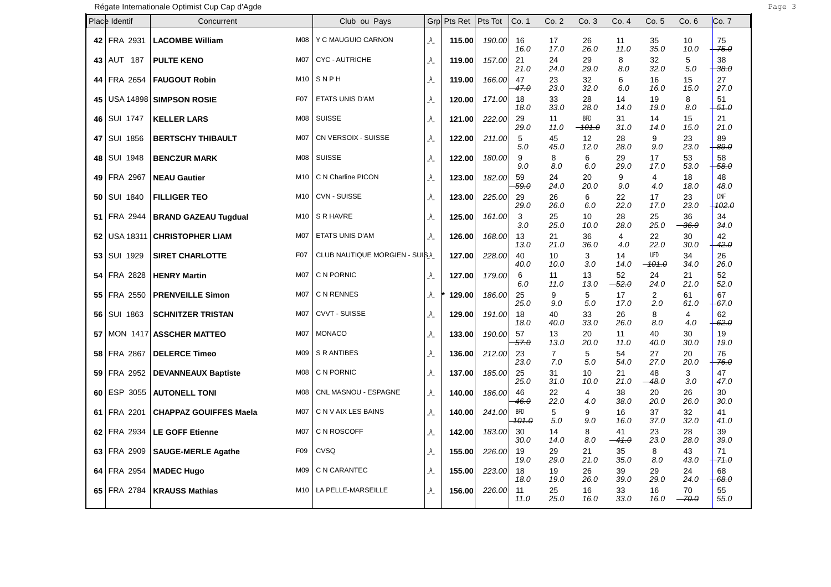|      | Place Identif   | Concurrent                    |                 | Club ou Pays                   | Grp            | Pts Ret | Pts Tot | Co. 1               | Co. 2                 | Co.3                   | Co. 4         | Co.5                   | Co. 6         | Co. 7                 |
|------|-----------------|-------------------------------|-----------------|--------------------------------|----------------|---------|---------|---------------------|-----------------------|------------------------|---------------|------------------------|---------------|-----------------------|
| 42   | FRA 2931        | <b>LACOMBE William</b>        | M08             | Y C MAUGUIO CARNON             | A              | 115.00  | 190.00  | 16<br>16.0          | 17<br>17.0            | 26<br>26.0             | 11<br>11.0    | 35<br>35.0             | 10<br>10.0    | 75<br>75.0            |
|      | 43   AUT 187    | <b>PULTE KENO</b>             | <b>M07</b>      | <b>CYC - AUTRICHE</b>          | A              | 119.00  | 157.00  | 21<br>21.0          | 24<br>24.0            | 29<br>29.0             | 8<br>8.0      | 32<br>32.0             | 5<br>5.0      | 38<br>$-38.0$         |
| 44   | FRA 2654        | <b>FAUGOUT Robin</b>          | M10             | SNPH                           | A              | 119.00  | 166.00  | 47<br>47.0          | 23<br>23.0            | 32<br>32.0             | 6<br>6.0      | 16<br>16.0             | 15<br>15.0    | 27<br>27.0            |
| 45   |                 | USA 14898 SIMPSON ROSIE       | F07             | ETATS UNIS D'AM                | A              | 120.00  | 171.00  | 18<br>18.0          | 33<br>33.0            | 28<br>28.0             | 14<br>14.0    | 19<br>19.0             | 8<br>8.0      | 51<br>51.0            |
| 46   | <b>SUI 1747</b> | <b>KELLER LARS</b>            | <b>M08</b>      | <b>SUISSE</b>                  | $\mathsf{A}\,$ | 121.00  | 222.00  | 29<br>29.0          | 11<br>11.0            | <b>BFD</b><br>$-101.0$ | 31<br>31.0    | 14<br>14.0             | 15<br>15.0    | 21<br>21.0            |
| 47   | SUI 1856        | <b>BERTSCHY THIBAULT</b>      | M <sub>07</sub> | CN VERSOIX - SUISSE            | A              | 122.00  | 211.00  | 5<br>5.0            | 45<br>45.0            | 12<br>12.0             | 28<br>28.0    | 9<br>9.0               | 23<br>23.0    | 89<br><del>89.0</del> |
| 48   | <b>SUI 1948</b> | <b>BENCZUR MARK</b>           | <b>M08</b>      | <b>SUISSE</b>                  | A              | 122.00  | 180.00  | 9<br>9.0            | 8<br>8.0              | 6<br>6.0               | 29<br>29.0    | 17<br>17.0             | 53<br>53.0    | 58<br>$-58.0$         |
|      | 49 FRA 2967     | <b>NEAU Gautier</b>           | M10             | C N Charline PICON             | A              | 123.00  | 182.00  | 59<br>59.0          | 24<br>24.0            | 20<br>20.0             | 9<br>9.0      | 4<br>4.0               | 18<br>18.0    | 48<br>48.0            |
| 50   | SUI 1840        | <b>FILLIGER TEO</b>           | M10             | CVN - SUISSE                   | A              | 123.00  | 225.00  | 29<br>29.0          | 26<br>26.0            | 6<br>6.0               | 22<br>22.0    | 17<br>17.0             | 23<br>23.0    | <b>DNF</b><br>102.0   |
| 51   | FRA 2944        | <b>BRAND GAZEAU Tugdual</b>   | M10             | S R HAVRE                      | A              | 125.00  | 161.00  | 3<br>3.0            | 25<br>25.0            | 10<br>10.0             | 28<br>28.0    | 25<br>25.0             | 36<br>$-36.0$ | 34<br>34.0            |
| 52   | USA 18311       | <b>CHRISTOPHER LIAM</b>       | M07             | ETATS UNIS D'AM                | A              | 126.00  | 168.00  | 13<br>13.0          | 21<br>21.0            | 36<br>36.0             | 4<br>4.0      | 22<br>22.0             | 30<br>30.0    | 42<br>42.0            |
| 53   | SUI 1929        | <b>SIRET CHARLOTTE</b>        | F07             | CLUB NAUTIQUE MORGIEN - SUIS A |                | 127.00  | 228.00  | 40<br>40.0          | 10<br>10.0            | 3<br>3.0               | 14<br>14.0    | <b>UFD</b><br>$-101.0$ | 34<br>34.0    | 26<br>26.0            |
| 54   | FRA 2828        | <b>HENRY Martin</b>           | M07             | C N PORNIC                     | A              | 127.00  | 179.00  | 6<br>6.0            | 11<br>11.0            | 13<br>13.0             | 52<br>52.0    | 24<br>24.0             | 21<br>21.0    | 52<br>52.0            |
| 55   | FRA 2550        | <b>PRENVEILLE Simon</b>       | M07             | C N RENNES                     | A              | 129.00  | 186.00  | 25<br>25.0          | 9<br>9.0              | 5<br>5.0               | 17<br>17.0    | $\overline{2}$<br>2.0  | 61<br>61.0    | 67<br>67.0            |
| 56   | SUI 1863        | <b>SCHNITZER TRISTAN</b>      | <b>M07</b>      | <b>CVVT - SUISSE</b>           | A              | 129.00  | 191.00  | 18<br>18.0          | 40<br>40.0            | 33<br>33.0             | 26<br>26.0    | 8<br>8.0               | 4<br>4.0      | 62<br>62.0            |
| 57   |                 | MON 1417 ASSCHER MATTEO       | <b>M07</b>      | <b>MONACO</b>                  | A              | 133.00  | 190.00  | 57<br>57.0          | 13<br>13.0            | 20<br>20.0             | 11<br>11.0    | 40<br>40.0             | 30<br>30.0    | 19<br>19.0            |
| 58   | <b>FRA 2867</b> | <b>DELERCE Timeo</b>          | M09             | S R ANTIBES                    | A              | 136.00  | 212.00  | 23<br>23.0          | $\overline{7}$<br>7.0 | 5<br>5.0               | 54<br>54.0    | 27<br>27.0             | 20<br>20.0    | 76<br>-76.0           |
| 59   | FRA 2952        | <b>DEVANNEAUX Baptiste</b>    | M08             | C N PORNIC                     | A              | 137.00  | 185.00  | 25<br>25.0          | 31<br>31.0            | 10<br>10.0             | 21<br>21.0    | 48<br>$-48.0$          | 3<br>3.0      | 47<br>47.0            |
|      | $60$ ESP 3055   | <b>AUTONELL TONI</b>          | M08             | CNL MASNOU - ESPAGNE           | A              | 140.00  | 186.00  | 46<br>46.0          | 22<br>22.0            | 4<br>4.0               | 38<br>38.0    | 20<br>20.0             | 26<br>26.0    | 30<br>30.0            |
| 61   | FRA 2201        | <b>CHAPPAZ GOUIFFES Maela</b> | <b>M07</b>      | C N V AIX LES BAINS            | A              | 140.00  | 241.00  | <b>BFD</b><br>101.0 | 5<br>5.0              | 9<br>9.0               | 16<br>16.0    | 37<br>37.0             | 32<br>32.0    | 41<br>41.0            |
| 62   | FRA 2934        | <b>LE GOFF Etienne</b>        | M07             | C N ROSCOFF                    | A              | 142.00  | 183.00  | 30<br>30.0          | 14<br>14.0            | 8<br>8.0               | 41<br>$-41.0$ | 23<br>23.0             | 28<br>28.0    | 39<br>39.0            |
| 63   | FRA 2909        | <b>SAUGE-MERLE Agathe</b>     | F <sub>09</sub> | CVSQ                           | A              | 155.00  | 226.00  | 19<br>19.0          | 29<br>29.0            | 21<br>21.0             | 35<br>35.0    | 8<br>8.0               | 43<br>43.0    | 71<br>71.0            |
| 64 I | FRA 2954        | <b>MADEC Hugo</b>             | M09             | C N CARANTEC                   | A              | 155.00  | 223.00  | 18<br>18.0          | 19<br>19.0            | 26<br>26.0             | 39<br>39.0    | 29<br>29.0             | 24<br>24.0    | 68<br>$-68.0$         |
|      | 65 FRA 2784     | <b>KRAUSS Mathias</b>         | M10             | LA PELLE-MARSEILLE             | A              | 156.00  | 226.00  | 11<br>11.0          | 25<br>25.0            | 16<br>16.0             | 33<br>33.0    | 16<br>16.0             | 70<br>$-70.0$ | 55<br>55.0            |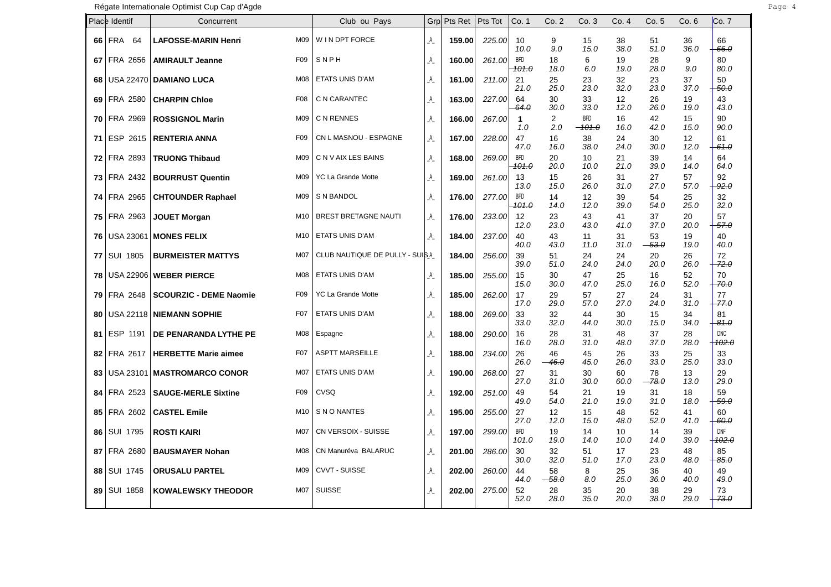|    | Place Identif      | Concurrent                                       | Club ou Pays                    | Grp | Pts Ret | Pts Tot | Co. 1                          | Co. 2                     | Co.3                 | Co. 4      | Co.5          | Co.6       | Co. 7                          |
|----|--------------------|--------------------------------------------------|---------------------------------|-----|---------|---------|--------------------------------|---------------------------|----------------------|------------|---------------|------------|--------------------------------|
| 66 | <b>FRA 64</b>      | <b>LAFOSSE-MARIN Henri</b><br>M09                | W IN DPT FORCE                  | A   | 159.00  | 225.00  | 10<br>10.0                     | 9<br>9.0                  | 15<br>15.0           | 38<br>38.0 | 51<br>51.0    | 36<br>36.0 | 66<br>66.0                     |
| 67 | FRA 2656           | F <sub>09</sub><br><b>AMIRAULT Jeanne</b>        | SNPH                            | A   | 160.00  | 261.00  | BFD<br><del>101.0</del>        | 18<br>18.0                | 6<br>6.0             | 19<br>19.0 | 28<br>28.0    | 9<br>9.0   | 80<br>80.0                     |
| 68 |                    | USA 22470 DAMIANO LUCA<br>M08                    | <b>ETATS UNIS D'AM</b>          | A   | 161.00  | 211.00  | 21<br>21.0                     | 25<br>25.0                | 23<br>23.0           | 32<br>32.0 | 23<br>23.0    | 37<br>37.0 | 50<br>50.0                     |
|    | 69 FRA 2580        | <b>CHARPIN Chloe</b><br>F08                      | C N CARANTEC                    | A   | 163.00  | 227.00  | 64<br>64.0                     | 30<br>30.0                | 33<br>33.0           | 12<br>12.0 | 26<br>26.0    | 19<br>19.0 | 43<br>43.0                     |
| 70 | FRA 2969           | <b>ROSSIGNOL Marin</b><br>M09                    | C N RENNES                      | A   | 166.00  | 267.00  | 1<br>1.0                       | 2<br>2.0                  | <b>BFD</b><br>-101.0 | 16<br>16.0 | 42<br>42.0    | 15<br>15.0 | 90<br>90.0                     |
| 71 | ESP 2615           | F <sub>09</sub><br><b>RENTERIA ANNA</b>          | CN L MASNOU - ESPAGNE           | _A_ | 167.00  | 228.00  | 47<br>47.0                     | 16<br>16.0                | 38<br>38.0           | 24<br>24.0 | 30<br>30.0    | 12<br>12.0 | 61<br>$+61.0$                  |
|    | <b>72 FRA 2893</b> | M09<br><b>TRUONG Thibaud</b>                     | C N V AIX LES BAINS             | A   | 168.00  | 269.00  | <b>BFD</b><br><del>101.0</del> | 20<br>20.0                | 10<br>10.0           | 21<br>21.0 | 39<br>39.0    | 14<br>14.0 | 64<br>64.0                     |
|    | <b>73 FRA 2432</b> | <b>BOURRUST Quentin</b><br>M09                   | YC La Grande Motte              | A   | 169.00  | 261.00  | 13<br>13.0                     | 15<br>15.0                | 26<br>26.0           | 31<br>31.0 | 27<br>27.0    | 57<br>57.0 | 92<br>92.0                     |
|    | 74 FRA 2965        | <b>CHTOUNDER Raphael</b><br>M09                  | S N BANDOL                      | A   | 176.00  | 277.00  | <b>BFD</b><br><del>101.0</del> | 14<br>14.0                | 12<br>12.0           | 39<br>39.0 | 54<br>54.0    | 25<br>25.0 | 32<br>32.0                     |
|    | 75 FRA 2963        | M <sub>10</sub><br><b>JOUET Morgan</b>           | <b>BREST BRETAGNE NAUTI</b>     | A   | 176.00  | 233.00  | 12<br>12.0                     | 23<br>23.0                | 43<br>43.0           | 41<br>41.0 | 37<br>37.0    | 20<br>20.0 | 57<br>$-57.0$                  |
| 76 |                    | USA 23061   MONES FELIX<br>M10                   | <b>ETATS UNIS D'AM</b>          | A   | 184.00  | 237.00  | 40<br>40.0                     | 43<br>43.0                | 11<br>11.0           | 31<br>31.0 | 53<br>$-53.0$ | 19<br>19.0 | 40<br>40.0                     |
| 77 | SUI 1805           | <b>M07</b><br><b>BURMEISTER MATTYS</b>           | CLUB NAUTIQUE DE PULLY - SUIS A |     | 184.00  | 256.00  | 39<br>39.0                     | 51<br>51.0                | 24<br>24.0           | 24<br>24.0 | 20<br>20.0    | 26<br>26.0 | 72<br>$-72.0$                  |
| 78 |                    | USA 22906 WEBER PIERCE<br>M08                    | ETATS UNIS D'AM                 | A   | 185.00  | 255.00  | 15<br>15.0                     | 30<br>30.0                | 47<br>47.0           | 25<br>25.0 | 16<br>16.0    | 52<br>52.0 | 70<br>70.0                     |
| 79 | FRA 2648           | F <sub>09</sub><br><b>SCOURZIC - DEME Naomie</b> | YC La Grande Motte              | A   | 185.00  | 262.00  | 17<br>17.0                     | 29<br>29.0                | 57<br>57.0           | 27<br>27.0 | 24<br>24.0    | 31<br>31.0 | 77<br>-77.0                    |
| 80 |                    | F07<br>USA 22118   NIEMANN SOPHIE                | <b>ETATS UNIS D'AM</b>          | A   | 188.00  | 269.00  | 33<br>33.0                     | 32<br>32.0                | 44<br>44.0           | 30<br>30.0 | 15<br>15.0    | 34<br>34.0 | 81<br>-81.0                    |
| 81 | ESP 1191           | M08<br>DE PENARANDA LYTHE PE                     | Espagne                         | A   | 188.00  | 290.00  | 16<br>16.0                     | 28<br>28.0                | 31<br>31.0           | 48<br>48.0 | 37<br>37.0    | 28<br>28.0 | <b>DNC</b><br><del>102.0</del> |
| 82 | FRA 2617           | F07<br><b>HERBETTE Marie aimee</b>               | <b>ASPTT MARSEILLE</b>          | A   | 188.00  | 234.00  | 26<br>26.0                     | 46<br>$-46.0$             | 45<br>45.0           | 26<br>26.0 | 33<br>33.0    | 25<br>25.0 | 33<br>33.0                     |
| 83 |                    | USA 23101   MASTROMARCO CONOR<br>M07             | <b>ETATS UNIS D'AM</b>          | A   | 190.00  | 268.00  | 27<br>27.0                     | 31<br>31.0                | 30<br>30.0           | 60<br>60.0 | 78<br>78.0    | 13<br>13.0 | 29<br>29.0                     |
| 84 | FRA 2523           | F <sub>09</sub><br><b>SAUGE-MERLE Sixtine</b>    | CVSQ                            | A   | 192.00  | 251.00  | 49<br>49.0                     | 54<br>54.0                | 21<br>21.0           | 19<br>19.0 | 31<br>31.0    | 18<br>18.0 | 59<br>59.0                     |
| 85 | FRA 2602           | <b>CASTEL Emile</b><br>M <sub>10</sub>           | S N O NANTES                    | A   | 195.00  | 255.00  | 27<br>27.0                     | $12 \overline{ }$<br>12.0 | 15<br>15.0           | 48<br>48.0 | 52<br>52.0    | 41<br>41.0 | 60<br>-60.0                    |
| 86 | SUI 1795           | <b>M07</b><br><b>ROSTI KAIRI</b>                 | CN VERSOIX - SUISSE             | A   | 197.00  | 299.00  | <b>BFD</b><br>101.0            | 19<br>19.0                | 14<br>14.0           | 10<br>10.0 | 14<br>14.0    | 39<br>39.0 | <b>DNF</b><br>$+102.0$         |
| 87 | FRA 2680           | M08<br><b>BAUSMAYER Nohan</b>                    | CN Manuréva BALARUC             | A   | 201.00  | 286.00  | 30<br>30.0                     | 32<br>32.0                | 51<br>51.0           | 17<br>17.0 | 23<br>23.0    | 48<br>48.0 | 85<br>$-85.0$                  |
| 88 | <b>SUI 1745</b>    | M09<br><b>ORUSALU PARTEL</b>                     | <b>CVVT - SUISSE</b>            | A   | 202.00  | 260.00  | 44<br>44.0                     | 58<br>$-58.0$             | 8<br>8.0             | 25<br>25.0 | 36<br>36.0    | 40<br>40.0 | 49<br>49.0                     |
| 89 | SUI 1858           | <b>KOWALEWSKY THEODOR</b><br>M07                 | <b>SUISSE</b>                   | A   | 202.00  | 275.00  | 52<br>52.0                     | 28<br>28.0                | 35<br>35.0           | 20<br>20.0 | 38<br>38.0    | 29<br>29.0 | 73<br>$-73.0$                  |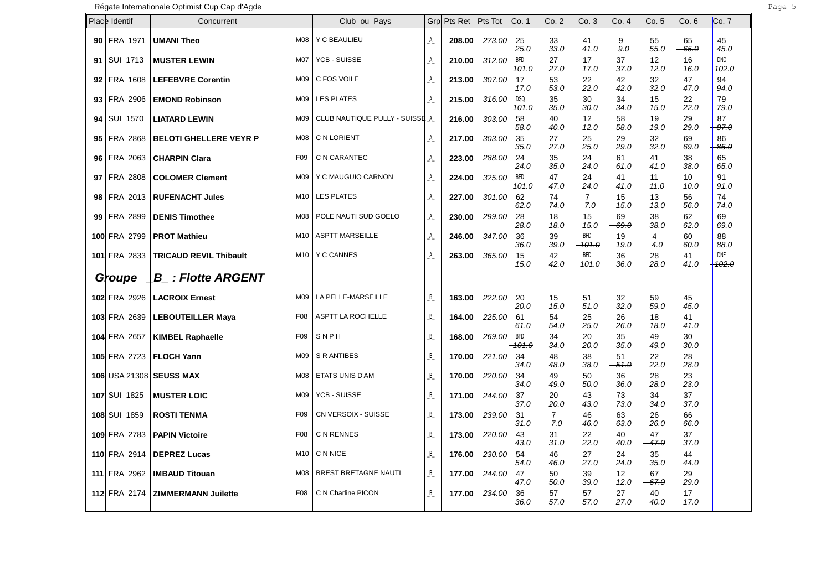Régate Internationale Optimist Cup Cap d'Agde **Page 1964** and the Page 1964 and the Page 1964 and the Page 1964 and Page 1964 and Page 1964 and Page 1965

|      | Place Identif   | Concurrent                                  | Club ou Pays                   | Grpl    | Pts Ret | Pts Tot | Co. 1                          | Co.2                  | Co.3                   | Co. 4                   | Co. 5         | Co. 6               | Co. 7                          |
|------|-----------------|---------------------------------------------|--------------------------------|---------|---------|---------|--------------------------------|-----------------------|------------------------|-------------------------|---------------|---------------------|--------------------------------|
|      | 90 FRA 1971     | <b>UMANI Theo</b><br>M08                    | Y C BEAULIEU                   | A       | 208.00  | 273.00  | 25<br>25.0                     | 33<br>33.0            | 41<br>41.0             | 9<br>9.0                | 55<br>55.0    | 65<br>$-65.0$       | 45<br>45.0                     |
| 91   | SUI 1713        | <b>MUSTER LEWIN</b><br>M07                  | YCB - SUISSE                   | A       | 210.00  | 312.00  | <b>BFD</b><br>101.0            | 27<br>27.0            | 17<br>17.0             | 37<br>37.0              | 12<br>12.0    | 16<br>16.0          | <b>DNC</b><br><del>102.0</del> |
| 92   | FRA 1608        | <b>LEFEBVRE Corentin</b><br>M09             | C FOS VOILE                    | A       | 213.00  | 307.00  | 17<br>17.0                     | 53<br>53.0            | 22<br>22.0             | 42<br>42.0              | 32<br>32.0    | 47<br>47.0          | 94<br>94.0                     |
| 93 I | FRA 2906        | <b>EMOND Robinson</b><br>M09                | <b>LES PLATES</b>              | A       | 215.00  | 316.00  | DSQ<br><del>101.0</del>        | 35<br>35.0            | 30<br>30.0             | 34<br>34.0              | 15<br>15.0    | 22<br>22.0          | 79<br>79.0                     |
| 94   | <b>SUI 1570</b> | <b>LIATARD LEWIN</b><br>M09                 | CLUB NAUTIQUE PULLY - SUISSE A |         | 216.00  | 303.00  | 58<br>58.0                     | 40<br>40.0            | 12<br>12.0             | 58<br>58.0              | 19<br>19.0    | 29<br>29.0          | 87<br>-87.0                    |
| 95   | FRA 2868        | <b>BELOTI GHELLERE VEYR P</b><br>M08        | C N LORIENT                    | A       | 217.00  | 303.00  | 35<br>35.0                     | 27<br>27.0            | 25<br>25.0             | 29<br>29.0              | 32<br>32.0    | 69<br>69.0          | 86<br>$-86.0$                  |
| 96   | FRA 2063        | <b>CHARPIN Clara</b><br>F <sub>09</sub>     | C N CARANTEC                   | A       | 223.00  | 288.00  | 24<br>24.0                     | 35<br>35.0            | 24<br>24.0             | 61<br>61.0              | 41<br>41.0    | 38<br>38.0          | 65<br>$-65.0$                  |
|      | 97 FRA 2808     | <b>COLOMER Clement</b><br>M09               | Y C MAUGUIO CARNON             | A       | 224.00  | 325.00  | <b>BFD</b><br><del>101.0</del> | 47<br>47.0            | 24<br>24.0             | 41<br>41.0              | 11<br>11.0    | 10<br>10.0          | 91<br>91.0                     |
|      | 98 FRA 2013     | <b>RUFENACHT Jules</b><br>M10               | <b>LES PLATES</b>              | A       | 227.00  | 301.00  | 62<br>62.0                     | 74<br>-74.0           | $\overline{7}$<br>7.0  | 15<br>15.0              | 13<br>13.0    | 56<br>56.0          | 74<br>74.0                     |
|      | 99 FRA 2899     | M08<br><b>DENIS Timothee</b>                | POLE NAUTI SUD GOELO           | A       | 230.00  | 299.00  | 28<br>28.0                     | 18<br>18.0            | 15<br>15.0             | 69<br>-69.0             | 38<br>38.0    | 62<br>62.0          | 69<br>69.0                     |
|      | 100 FRA 2799    | <b>PROT Mathieu</b><br>M10                  | <b>ASPTT MARSEILLE</b>         | A       | 246.00  | 347.00  | 36<br>36.0                     | 39<br>39.0            | <b>BFD</b><br>$-101.0$ | 19<br>19.0              | 4<br>4.0      | 60<br>60.0          | 88<br>88.0                     |
|      | 101 FRA 2833    | M10<br><b>TRICAUD REVIL Thibault</b>        | <b>Y C CANNES</b>              | A       | 263.00  | 365.00  | 15<br>15.0                     | 42<br>42.0            | <b>BFD</b><br>101.0    | 36<br>36.0              | 28<br>28.0    | 41<br>41.0          | <b>DNF</b><br><del>102.0</del> |
|      | Groupe          | <b>B</b> : Flotte ARGENT                    |                                |         |         |         |                                |                       |                        |                         |               |                     |                                |
|      | 102 FRA 2926    | <b>LACROIX Ernest</b><br>M09                | LA PELLE-MARSEILLE             | B       | 163.00  | 222.00  | 20<br>20.0                     | 15<br>15.0            | 51<br>51.0             | 32<br>32.0              | 59<br>$-59.0$ | 45<br>45.0          |                                |
|      | 103 FRA 2639    | <b>LEBOUTEILLER Maya</b><br>F <sub>08</sub> | ASPTT LA ROCHELLE              | $B_{-}$ | 164.00  | 225.00  | 61<br><del>61.0</del>          | 54<br>54.0            | 25<br>25.0             | 26<br>26.0              | 18<br>18.0    | 41<br>41.0          |                                |
|      | 104 FRA 2657    | <b>KIMBEL Raphaelle</b><br>F09              | SNPH                           | $B_{-}$ | 168.00  | 269.00  | BFD<br><del>101.0</del>        | 34<br>34.0            | 20<br>20.0             | 35<br>35.0              | 49<br>49.0    | 30<br>30.0          |                                |
|      | 105 FRA 2723    | M09<br><b>FLOCH Yann</b>                    | S R ANTIBES                    | B       | 170.00  | 221.00  | 34<br>34.0                     | 48<br>48.0            | 38<br>38.0             | 51<br>$-51.0$           | 22<br>22.0    | 28<br>28.0          |                                |
|      |                 | 106 USA 21308 SEUSS MAX<br>M08              | ETATS UNIS D'AM                | $B_{-}$ | 170.00  | 220.00  | 34<br>34.0                     | 49<br>49.0            | 50<br>$-50.0$          | 36<br>36.0              | 28<br>28.0    | 23<br>23.0          |                                |
|      | 107 SUI 1825    | M09<br><b>MUSTER LOIC</b>                   | YCB - SUISSE                   | B       | 171.00  | 244.00  | 37<br>37.0                     | 20<br>20.0            | 43<br>43.0             | 73<br>-73.0             | 34<br>34.0    | 37<br>37.0          |                                |
|      | 108 SUI 1859    | <b>ROSTI TENMA</b><br>F <sub>09</sub>       | CN VERSOIX - SUISSE            | $B_{-}$ | 173.00  | 239.00  | 31<br>31.0                     | $\overline{7}$<br>7.0 | 46<br>46.0             | 63<br>63.0              | 26<br>26.0    | 66<br>$-66. \theta$ |                                |
|      | 109 FRA 2783    | <b>PAPIN Victoire</b><br>F08                | C N RENNES                     | B       | 173.00  | 220.00  | 43<br>43.0                     | 31<br>31.0            | 22<br>22.0             | 40<br>40.0              | 47<br>$-47.0$ | 37<br>37.0          |                                |
|      | 110 FRA 2914    | <b>DEPREZ Lucas</b><br>M10                  | C N NICE                       | B       | 176.00  | 230.00  | 54<br>54.0                     | 46<br>46.0            | 27<br>27.0             | 24<br>24.0              | 35<br>35.0    | 44<br>44.0          |                                |
|      | 111 FRA 2962    | <b>IMBAUD Titouan</b><br>M08                | <b>BREST BRETAGNE NAUTI</b>    | $B_{-}$ | 177.00  | 244.00  | 47<br>47.0                     | 50<br>50.0            | 39<br>39.0             | 12 <sup>°</sup><br>12.0 | 67<br>$-67.0$ | 29<br>29.0          |                                |
|      | 112 FRA 2174    | <b>ZIMMERMANN Juilette</b><br>F08           | C N Charline PICON             | $B_{-}$ | 177.00  | 234.00  | 36<br>36.0                     | 57<br>$-57.0$         | 57<br>57.0             | 27<br>27.0              | 40<br>40.0    | 17<br>17.0          |                                |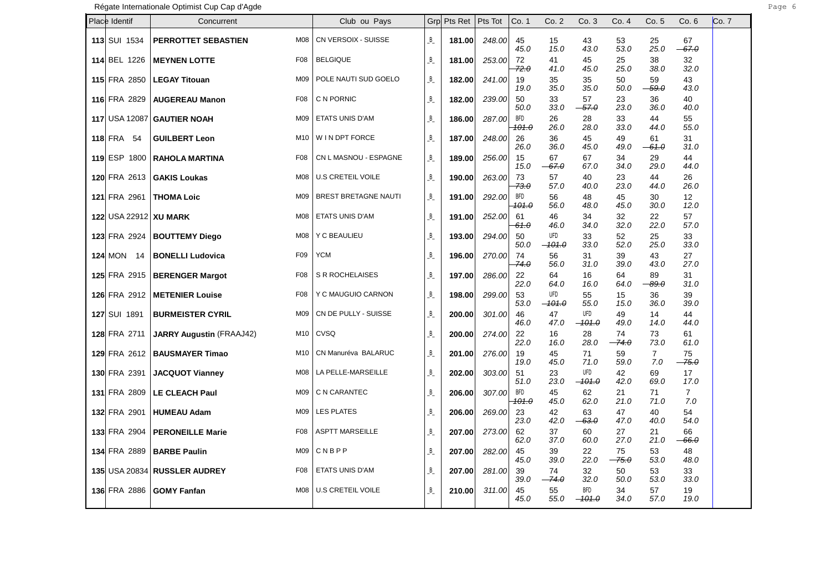Régate Internationale Optimist Cup Cap d'Agde **Page 6 and 2018** Page 6 and 2019 Page 6 and 2019 Page 6 and 2019 Page 6 and 2019 Page 6 and 2019 Page 6 and 2019 Page 6 and 2019 Page 6 and 2019 Page 6 and 2019 Page 7 and 201

| Place Identif         | Concurrent                      |                 | Club ou Pays                |              | Grp Pts Ret | Pts Tot | Co. 1                          | Co. 2           | Co.3                     | Co. 4         | Co.5                  | Co. 6                     | Co. 7 |
|-----------------------|---------------------------------|-----------------|-----------------------------|--------------|-------------|---------|--------------------------------|-----------------|--------------------------|---------------|-----------------------|---------------------------|-------|
| <b>113 SUI 1534</b>   | PERROTTET SEBASTIEN             | M08             | CN VERSOIX - SUISSE         | B            | 181.00      | 248.00  | 45<br>45.0                     | 15<br>15.0      | 43<br>43.0               | 53<br>53.0    | 25<br>25.0            | 67<br>$-67.0$             |       |
| 114 BEL 1226          | <b>MEYNEN LOTTE</b>             | F08             | <b>BELGIQUE</b>             | B            | 181.00      | 253.00  | 72<br>72.0                     | 41<br>41.0      | 45<br>45.0               | 25<br>25.0    | 38<br>38.0            | 32<br>32.0                |       |
| <b>115 FRA 2850</b>   | <b>LEGAY Titouan</b>            | M09             | POLE NAUTI SUD GOELO        | B            | 182.00      | 241.00  | 19<br>19.0                     | 35<br>35.0      | 35<br>35.0               | 50<br>50.0    | 59<br>$-59.0$         | 43<br>43.0                |       |
| 116 FRA 2829          | <b>AUGEREAU Manon</b>           | F <sub>08</sub> | C N PORNIC                  | B            | 182.00      | 239.00  | 50<br>50.0                     | 33<br>33.0      | 57<br>$-57.0$            | 23<br>23.0    | 36<br>36.0            | 40<br>40.0                |       |
|                       | 117 USA 12087 GAUTIER NOAH      | M09             | ETATS UNIS D'AM             | B            | 186.00      | 287.00  | <b>BFD</b><br><del>101.0</del> | 26<br>26.0      | 28<br>28.0               | 33<br>33.0    | 44<br>44.0            | 55<br>55.0                |       |
| <b>118 FRA 54</b>     | <b>GUILBERT Leon</b>            | M10             | W IN DPT FORCE              | B            | 187.00      | 248.00  | 26<br>26.0                     | 36<br>36.0      | 45<br>45.0               | 49<br>49.0    | 61<br>$-61.0$         | 31<br>31.0                |       |
| 119 ESP 1800          | <b>RAHOLA MARTINA</b>           | F08             | CN L MASNOU - ESPAGNE       | B            | 189.00      | 256.00  | 15<br>15.0                     | 67<br>$-67.0$   | 67<br>67.0               | 34<br>34.0    | 29<br>29.0            | 44<br>44.0                |       |
| 120 FRA 2613          | <b>GAKIS Loukas</b>             | M08             | U.S CRETEIL VOILE           | B            | 190.00      | 263.00  | 73<br>-73.0                    | 57<br>57.0      | 40<br>40.0               | 23<br>23.0    | 44<br>44.0            | 26<br>26.0                |       |
| <b>121 FRA 2961</b>   | <b>THOMA Loic</b>               | M09             | <b>BREST BRETAGNE NAUTI</b> | B            | 191.00      | 292.00  | BFD<br><del>101.0</del>        | 56<br>56.0      | 48<br>48.0               | 45<br>45.0    | 30<br>30.0            | $12 \overline{ }$<br>12.0 |       |
| 122 USA 22912 XU MARK |                                 | M08             | ETATS UNIS D'AM             | B            | 191.00      | 252.00  | 61<br><del>61.0</del>          | 46<br>46.0      | 34<br>34.0               | 32<br>32.0    | 22<br>22.0            | 57<br>57.0                |       |
|                       | 123 FRA 2924   BOUTTEMY Diego   | M08             | Y C BEAULIEU                | B            | 193.00      | 294.00  | 50<br>50.0                     | UFD<br>$-101.0$ | 33<br>33.0               | 52<br>52.0    | 25<br>25.0            | 33<br>33.0                |       |
| <b>124 MON 14</b>     | <b>BONELLI Ludovica</b>         | F <sub>09</sub> | <b>YCM</b>                  | B            | 196.00      | 270.00  | 74<br>74.0                     | 56<br>56.0      | 31<br>31.0               | 39<br>39.0    | 43<br>43.0            | 27<br>27.0                |       |
| <b>125 FRA 2915</b>   | <b>BERENGER Margot</b>          | F08             | S R ROCHELAISES             | B            | 197.00      | 286.00  | 22<br>22.0                     | 64<br>64.0      | 16<br>16.0               | 64<br>64.0    | 89<br><del>89.0</del> | 31<br>31.0                |       |
| 126 FRA 2912          | <b>METENIER Louise</b>          | F08             | Y C MAUGUIO CARNON          | B            | 198.00      | 299.00  | 53<br>53.0                     | UFD<br>$-101.0$ | 55<br>55.0               | 15<br>15.0    | 36<br>36.0            | 39<br>39.0                |       |
| 127 SUI 1891          | <b>BURMEISTER CYRIL</b>         | M09             | CN DE PULLY - SUISSE        | B            | 200.00      | 301.00  | 46<br>46.0                     | 47<br>47.0      | UFD<br>$-101.0$          | 49<br>49.0    | 14<br>14.0            | 44<br>44.0                |       |
| <b>128 FRA 2711</b>   | <b>JARRY Augustin (FRAAJ42)</b> |                 | M <sub>10</sub>   CVSQ      | B            | 200.00      | 274.00  | 22<br>22.0                     | 16<br>16.0      | 28<br>28.0               | 74<br>$-74.0$ | 73<br>73.0            | 61<br>61.0                |       |
|                       | 129 FRA 2612   BAUSMAYER Timao  | M10             | CN Manuréva BALARUC         | B            | 201.00      | 276.00  | 19<br>19.0                     | 45<br>45.0      | 71<br>71.0               | 59<br>59.0    | $\overline{7}$<br>7.0 | 75<br>-75.0               |       |
| 130 FRA 2391          | <b>JACQUOT Vianney</b>          | M08             | LA PELLE-MARSEILLE          | B            | 202.00      | 303.00  | 51<br>51.0                     | 23<br>23.0      | UFD<br><del>-101.0</del> | 42<br>42.0    | 69<br>69.0            | 17<br>17.0                |       |
| <b>131 FRA 2809</b>   | <b>LE CLEACH Paul</b>           | M09             | C N CARANTEC                | B            | 206.00      | 307.00  | <b>BFD</b><br>101.0            | 45<br>45.0      | 62<br>62.0               | 21<br>21.0    | 71<br>71.0            | $\overline{7}$<br>7.0     |       |
| 132 FRA 2901          | <b>HUMEAU Adam</b>              | M09             | <b>LES PLATES</b>           | B            | 206.00      | 269.00  | 23<br>23.0                     | 42<br>42.0      | 63<br><del>- 63.0</del>  | 47<br>47.0    | 40<br>40.0            | 54<br>54.0                |       |
| <b>133 FRA 2904</b>   | <b>PERONEILLE Marie</b>         | F08             | <b>ASPTT MARSEILLE</b>      | B            | 207.00      | 273.00  | 62<br>62.0                     | 37<br>37.0      | 60<br>60.0               | 27<br>27.0    | 21<br>21.0            | 66<br>66.0                |       |
| <b>134 FRA 2889</b>   | <b>BARBE Paulin</b>             | M09             | <b>CNBPP</b>                | B            | 207.00      | 282.00  | 45<br>45.0                     | 39<br>39.0      | 22<br>22.0               | 75<br>$-75.0$ | 53<br>53.0            | 48<br>48.0                |       |
|                       | 135 USA 20834 RUSSLER AUDREY    | F08             | ETATS UNIS D'AM             | B            | 207.00      | 281.00  | 39<br>39.0                     | 74<br>$-74.0$   | 32<br>32.0               | 50<br>50.0    | 53<br>53.0            | 33<br>33.0                |       |
| <b>136 FRA 2886</b>   | <b>GOMY Fanfan</b>              | M <sub>08</sub> | <b>U.S CRETEIL VOILE</b>    | $\, {\sf B}$ | 210.00      | 311.00  | 45<br>45.0                     | 55<br>55.0      | <b>BFD</b><br>$-101.0$   | 34<br>34.0    | 57<br>57.0            | 19<br>19.0                |       |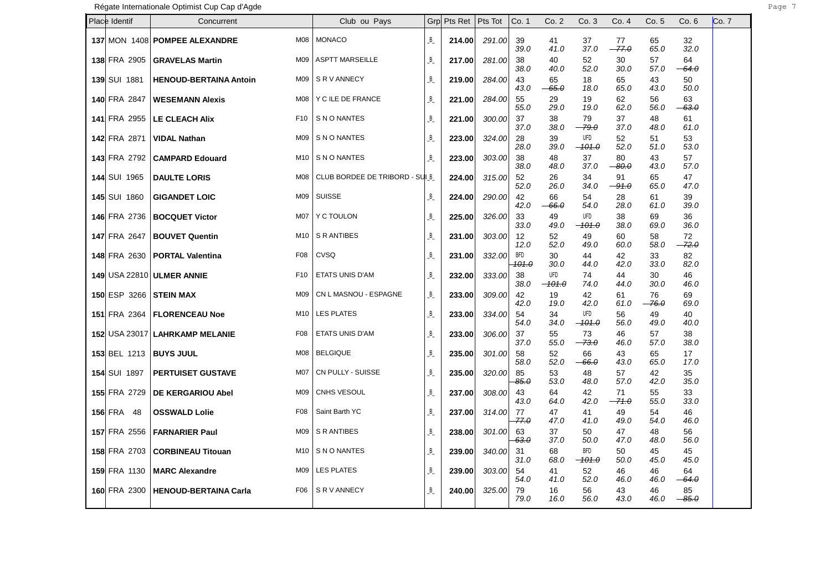| Place Identif       | Concurrent                       |                 | Club ou Pays                   | Grpl    | Pts Ret   Pts Tot |        | Co. 1                   | Co.2            | Co. 3                           | Co. 4         | Co.5          | Co.6          | Co. 7 |
|---------------------|----------------------------------|-----------------|--------------------------------|---------|-------------------|--------|-------------------------|-----------------|---------------------------------|---------------|---------------|---------------|-------|
|                     | 137 MON 1408 POMPEE ALEXANDRE    |                 | M08   MONACO                   | $B_{-}$ | 214.00            | 291.00 | 39<br>39.0              | 41<br>41.0      | 37<br>37.0                      | 77<br>$-77.0$ | 65<br>65.0    | 32<br>32.0    |       |
| 138 FRA 2905        | <b>GRAVELAS Martin</b>           | M09             | <b>ASPTT MARSEILLE</b>         | $B_{-}$ | 217.00            | 281.00 | 38<br>38.0              | 40<br>40.0      | 52<br>52.0                      | 30<br>30.0    | 57<br>57.0    | 64<br>$-64.0$ |       |
| <b>139 SUI 1881</b> | <b>HENOUD-BERTAINA Antoin</b>    | M09             | SR V ANNECY                    | B       | 219.00            | 284.00 | 43<br>43.0              | 65<br>$-65.0$   | 18<br>18.0                      | 65<br>65.0    | 43<br>43.0    | 50<br>50.0    |       |
| 140 FRA 2847        | <b>WESEMANN Alexis</b>           | M08             | Y C ILE DE FRANCE              | $B_{-}$ | 221.00            | 284.00 | 55<br>55.0              | 29<br>29.0      | 19<br>19.0                      | 62<br>62.0    | 56<br>56.0    | 63<br>$-63.0$ |       |
| 141 FRA 2955        | <b>LE CLEACH Alix</b>            | F <sub>10</sub> | S N O NANTES                   | $B_{-}$ | 221.00            | 300.00 | 37<br>37.0              | 38<br>38.0      | 79<br>$-79.0$                   | 37<br>37.0    | 48<br>48.0    | 61<br>61.0    |       |
| 142 FRA 2871        | <b>VIDAL Nathan</b>              | M09             | S N O NANTES                   | $B_{-}$ | 223.00            | 324.00 | 28<br>28.0              | 39<br>39.0      | <b>UFD</b><br>$-101.0$          | 52<br>52.0    | 51<br>51.0    | 53<br>53.0    |       |
| 143 FRA 2792        | <b>CAMPARD Edouard</b>           | M10             | S N O NANTES                   | $B_{-}$ | 223.00            | 303.00 | 38<br>38.0              | 48<br>48.0      | 37<br>37.0                      | 80<br>$-80.0$ | 43<br>43.0    | 57<br>57.0    |       |
| <b>144 SUI 1965</b> | <b>DAULTE LORIS</b>              | M08             | CLUB BORDEE DE TRIBORD - SUI B |         | 224.00            | 315.00 | 52<br>52.0              | 26<br>26.0      | 34<br>34.0                      | 91<br>$-91.0$ | 65<br>65.0    | 47<br>47.0    |       |
| <b>145 SUI 1860</b> | <b>GIGANDET LOIC</b>             | M09             | SUISSE                         | $B_{-}$ | 224.00            | 290.00 | 42<br>42.0              | 66<br>$-66.0$   | 54<br>54.0                      | 28<br>28.0    | 61<br>61.0    | 39<br>39.0    |       |
| 146 FRA 2736        | <b>BOCQUET Victor</b>            | M07             | Y C TOULON                     | $B_{-}$ | 225.00            | 326.00 | 33<br>33.0              | 49<br>49.0      | <b>UFD</b><br><del>-101.0</del> | 38<br>38.0    | 69<br>69.0    | 36<br>36.0    |       |
| <b>147 FRA 2647</b> | <b>BOUVET Quentin</b>            | M10             | S R ANTIBES                    | $B_{-}$ | 231.00            | 303.00 | 12<br>12.0              | 52<br>52.0      | 49<br>49.0                      | 60<br>60.0    | 58<br>58.0    | 72<br>$-72.0$ |       |
| <b>148 FRA 2630</b> | <b>PORTAL Valentina</b>          | F08             | CVSQ                           | $B_{-}$ | 231.00            | 332.00 | BFD<br><del>101.0</del> | 30<br>30.0      | 44<br>44.0                      | 42<br>42.0    | 33<br>33.0    | 82<br>82.0    |       |
|                     | <b>149 USA 22810 ULMER ANNIE</b> | F <sub>10</sub> | ETATS UNIS D'AM                | $B_{-}$ | 232.00            | 333.00 | 38<br>38.0              | UFD<br>$-101.0$ | 74<br>74.0                      | 44<br>44.0    | 30<br>30.0    | 46<br>46.0    |       |
| 150 ESP 3266        | <b>STEIN MAX</b>                 | M09             | CN L MASNOU - ESPAGNE          | $B_{-}$ | 233.00            | 309.00 | 42<br>42.0              | 19<br>19.0      | 42<br>42.0                      | 61<br>61.0    | 76<br>$-76.0$ | 69<br>69.0    |       |
| <b>151 FRA 2364</b> | <b>FLORENCEAU Noe</b>            | M10             | <b>LES PLATES</b>              | $B_{-}$ | 233.00            | 334.00 | 54<br>54.0              | 34<br>34.0      | UFD<br>$-101.0$                 | 56<br>56.0    | 49<br>49.0    | 40<br>40.0    |       |
|                     | 152 USA 23017 LAHRKAMP MELANIE   | F08             | ETATS UNIS D'AM                | $B_{-}$ | 233.00            | 306.00 | 37<br>37.0              | 55<br>55.0      | 73<br>$-73.0$                   | 46<br>46.0    | 57<br>57.0    | 38<br>38.0    |       |
|                     | 153 BEL 1213   BUYS JUUL         | <b>M08</b>      | <b>BELGIQUE</b>                | $B_{-}$ | 235.00            | 301.00 | 58<br>58.0              | 52<br>52.0      | 66<br><del>- 66.0</del>         | 43<br>43.0    | 65<br>65.0    | 17<br>17.0    |       |
| <b>154 SUI 1897</b> | <b>PERTUISET GUSTAVE</b>         | <b>M07</b>      | CN PULLY - SUISSE              | $B_{-}$ | 235.00            | 320.00 | 85<br>85.0              | 53<br>53.0      | 48<br>48.0                      | 57<br>57.0    | 42<br>42.0    | 35<br>35.0    |       |
| <b>155 FRA 2729</b> | <b>DE KERGARIOU Abel</b>         | M09             | CNHS VESOUL                    | $B_{-}$ | 237.00            | 308.00 | 43<br>43.0              | 64<br>64.0      | 42<br>42.0                      | 71<br>-71.0   | 55<br>55.0    | 33<br>33.0    |       |
| <b>156 FRA 48</b>   | <b>OSSWALD Lolie</b>             | F <sub>08</sub> | Saint Barth YC                 | $B_{-}$ | 237.00            | 314.00 | 77<br>77.0              | 47<br>47.0      | 41<br>41.0                      | 49<br>49.0    | 54<br>54.0    | 46<br>46.0    |       |
| <b>157 FRA 2556</b> | <b>FARNARIER Paul</b>            | M09             | S R ANTIBES                    | $B_{-}$ | 238.00            | 301.00 | 63<br>$63. \theta$      | 37<br>37.0      | 50<br>50.0                      | 47<br>47.0    | 48<br>48.0    | 56<br>56.0    |       |
| <b>158 FRA 2703</b> | <b>CORBINEAU Titouan</b>         | M10             | S N O NANTES                   | $B_{-}$ | 239.00            | 340.00 | 31<br>31.0              | 68<br>68.0      | <b>BFD</b><br>$-101.0$          | 50<br>50.0    | 45<br>45.0    | 45<br>45.0    |       |
| <b>159 FRA 1130</b> | <b>MARC Alexandre</b>            | M09             | <b>LES PLATES</b>              | $B_{-}$ | 239.00            | 303.00 | 54<br>54.0              | 41<br>41.0      | 52<br>52.0                      | 46<br>46.0    | 46<br>46.0    | 64<br>$-64.0$ |       |
| 160 FRA 2300        | <b>HENOUD-BERTAINA Carla</b>     | F06             | S R V ANNECY                   | B       | 240.00            | 325.00 | 79<br>79.0              | 16<br>16.0      | 56<br>56.0                      | 43<br>43.0    | 46<br>46.0    | 85<br>$-85.0$ |       |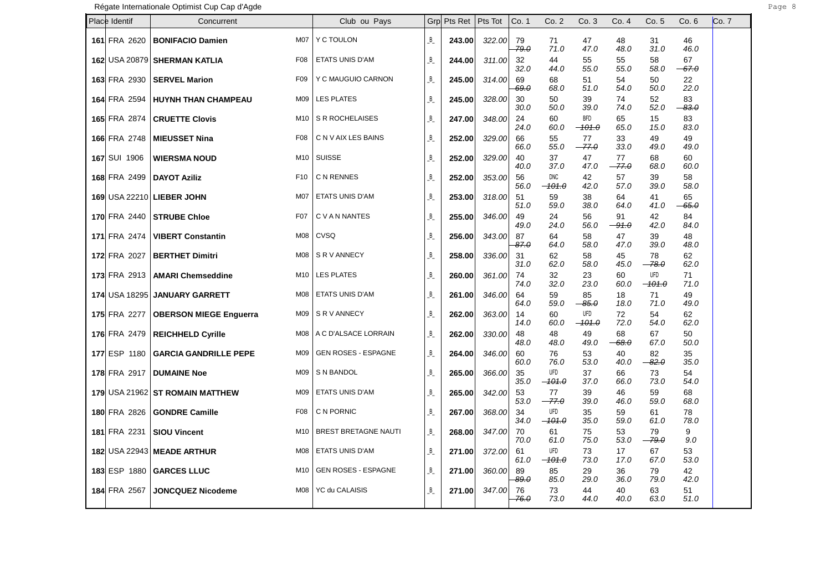| Place Identif        | Concurrent                               | Club ou Pays               |         | Grp Pts Ret | Pts Tot | Co. 1              | Co. 2                           | Co. 3                   | Co. 4         | Co. 5                  | Co.6          | Co. 7 |
|----------------------|------------------------------------------|----------------------------|---------|-------------|---------|--------------------|---------------------------------|-------------------------|---------------|------------------------|---------------|-------|
| 161 FRA 2620         | M07<br><b>BONIFACIO Damien</b>           | Y C TOULON                 | $B_{-}$ | 243.00      | 322.00  | 79<br>79.0         | 71<br>71.0                      | 47<br>47.0              | 48<br>48.0    | 31<br>31.0             | 46<br>46.0    |       |
|                      | 162 USA 20879 SHERMAN KATLIA<br>F08      | <b>ETATS UNIS D'AM</b>     | B       | 244.00      | 311.00  | 32<br>32.0         | 44<br>44.0                      | 55<br>55.0              | 55<br>55.0    | 58<br>58.0             | 67<br>$-67.0$ |       |
| 163 FRA 2930         | <b>SERVEL Marion</b><br>F09              | Y C MAUGUIO CARNON         | $B_{-}$ | 245.00      | 314.00  | 69<br>69.0         | 68<br>68.0                      | 51<br>51.0              | 54<br>54.0    | 50<br>50.0             | 22<br>22.0    |       |
| 164 FRA 2594         | <b>HUYNH THAN CHAMPEAU</b><br>M09        | <b>LES PLATES</b>          | $B_{-}$ | 245.00      | 328.00  | 30<br>30.0         | 50<br>50.0                      | 39<br>39.0              | 74<br>74.0    | 52<br>52.0             | 83<br>$-83.0$ |       |
| 165 FRA 2874         | <b>CRUETTE Clovis</b><br>M10             | S R ROCHELAISES            | B       | 247.00      | 348.00  | 24<br>24.0         | 60<br>60.0                      | <b>BFD</b><br>$-101.0$  | 65<br>65.0    | 15<br>15.0             | 83<br>83.0    |       |
| 166 FRA 2748         | F <sub>0</sub> 8<br><b>MIEUSSET Nina</b> | C N V AIX LES BAINS        | $B_{-}$ | 252.00      | 329.00  | 66<br>66.0         | 55<br>55.0                      | 77<br>$-77.0$           | 33<br>33.0    | 49<br>49.0             | 49<br>49.0    |       |
| 167 SUI 1906         | <b>WIERSMA NOUD</b><br>M10               | <b>SUISSE</b>              | B       | 252.00      | 329.00  | 40<br>40.0         | 37<br>37.0                      | 47<br>47.0              | 77<br>$-77.0$ | 68<br>68.0             | 60<br>60.0    |       |
| 168 FRA 2499         | <b>DAYOT Aziliz</b><br>F <sub>10</sub>   | C N RENNES                 | B       | 252.00      | 353.00  | 56<br>56.0         | <b>DNC</b><br><del>-101.0</del> | 42<br>42.0              | 57<br>57.0    | 39<br>39.0             | 58<br>58.0    |       |
|                      | 169 USA 22210 LIEBER JOHN<br>M07         | ETATS UNIS D'AM            | B       | 253.00      | 318.00  | 51<br>51.0         | 59<br>59.0                      | 38<br>38.0              | 64<br>64.0    | 41<br>41.0             | 65<br>$-65.0$ |       |
| 170 FRA 2440         | F <sub>0</sub> 7<br><b>STRUBE Chloe</b>  | C V A N NANTES             | $B_{-}$ | 255.00      | 346.00  | 49<br>49.0         | 24<br>24.0                      | 56<br>56.0              | 91<br>$-91.0$ | 42<br>42.0             | 84<br>84.0    |       |
| 171 FRA 2474         | <b>VIBERT Constantin</b><br>M08          | CVSQ                       | B       | 256.00      | 343.00  | 87<br>87.0         | 64<br>64.0                      | 58<br>58.0              | 47<br>47.0    | 39<br>39.0             | 48<br>48.0    |       |
| <b>172 FRA 2027</b>  | <b>BERTHET Dimitri</b><br>M08            | S R V ANNECY               | $B_{-}$ | 258.00      | 336.00  | 31<br>31.0         | 62<br>62.0                      | 58<br>58.0              | 45<br>45.0    | 78<br>$-78.0$          | 62<br>62.0    |       |
| 173 FRA 2913         | <b>AMARI Chemseddine</b><br>M10          | <b>LES PLATES</b>          | B       | 260.00      | 361.00  | 74<br>74.0         | 32<br>32.0                      | 23<br>23.0              | 60<br>60.0    | <b>UFD</b><br>$-101.0$ | 71<br>71.0    |       |
| <b>174 USA 18295</b> | <b>JANUARY GARRETT</b><br>M08            | ETATS UNIS D'AM            | $B_{-}$ | 261.00      | 346.00  | 64<br>64.0         | 59<br>59.0                      | 85<br><del>85.0 -</del> | 18<br>18.0    | 71<br>71.0             | 49<br>49.0    |       |
| 175 FRA 2277         | M09<br><b>OBERSON MIEGE Enguerra</b>     | S R V ANNECY               | $B_{-}$ | 262.00      | 363.00  | 14<br>14.0         | 60<br>60.0                      | UFD<br>$-101.0$         | 72<br>72.0    | 54<br>54.0             | 62<br>62.0    |       |
| 176 FRA 2479         | <b>REICHHELD Cyrille</b>                 | M08   A C D'ALSACE LORRAIN | $B_{-}$ | 262.00      | 330.00  | 48<br>48.0         | 48<br>48.0                      | 49<br>49.0              | 68<br>68.0    | 67<br>67.0             | 50<br>50.0    |       |
| 177 ESP 1180         | <b>GARCIA GANDRILLE PEPE</b><br>M09      | <b>GEN ROSES - ESPAGNE</b> | $B_{-}$ | 264.00      | 346.00  | 60<br>60.0         | 76<br>76.0                      | 53<br>53.0              | 40<br>40.0    | 82<br>$-82.0$          | 35<br>35.0    |       |
| 178 FRA 2917         | M09<br><b>DUMAINE Noe</b>                | S N BANDOL                 | $B_{-}$ | 265.00      | 366.00  | 35<br>35.0         | UFD<br>$-101.0$                 | 37<br>37.0              | 66<br>66.0    | 73<br>73.0             | 54<br>54.0    |       |
|                      | 179 USA 21962 ST ROMAIN MATTHEW<br>M09   | ETATS UNIS D'AM            | B       | 265.00      | 342.00  | 53<br>53.0         | 77<br>$-77.0$                   | 39<br>39.0              | 46<br>46.0    | 59<br>59.0             | 68<br>68.0    |       |
| 180 FRA 2826         | <b>GONDRE Camille</b><br>F08             | C N PORNIC                 | $B_{-}$ | 267.00      | 368.00  | 34<br>34.0         | UFD<br>$-101.0$                 | 35<br>35.0              | 59<br>59.0    | 61<br>61.0             | 78<br>78.0    |       |
| 181 FRA 2231         | M10<br><b>SIOU Vincent</b>               | BREST BRETAGNE NAUTI       | $B_{-}$ | 268.00      | 347.00  | 70<br>70.0         | 61<br>61.0                      | 75<br>75.0              | 53<br>53.0    | 79<br>$-79.0$          | 9<br>9.0      |       |
|                      | 182 USA 22943 MEADE ARTHUR<br>M08        | ETATS UNIS D'AM            | $B_{-}$ | 271.00      | 372.00  | 61<br>61.0         | UFD<br>$-101.0$                 | 73<br>73.0              | 17<br>17.0    | 67<br>67.0             | 53<br>53.0    |       |
| 183 ESP 1880         | M10<br><b>GARCES LLUC</b>                | <b>GEN ROSES - ESPAGNE</b> | $B_{-}$ | 271.00      | 360.00  | 89<br>$89. \theta$ | 85<br>85.0                      | 29<br>29.0              | 36<br>36.0    | 79<br>79.0             | 42<br>42.0    |       |
| <b>184 FRA 2567</b>  | <b>JONCQUEZ Nicodeme</b><br>M08          | YC du CALAISIS             | $B_{-}$ | 271.00      | 347.00  | 76<br>76.0         | 73<br>73.0                      | 44<br>44.0              | 40<br>40.0    | 63<br>63.0             | 51<br>51.0    |       |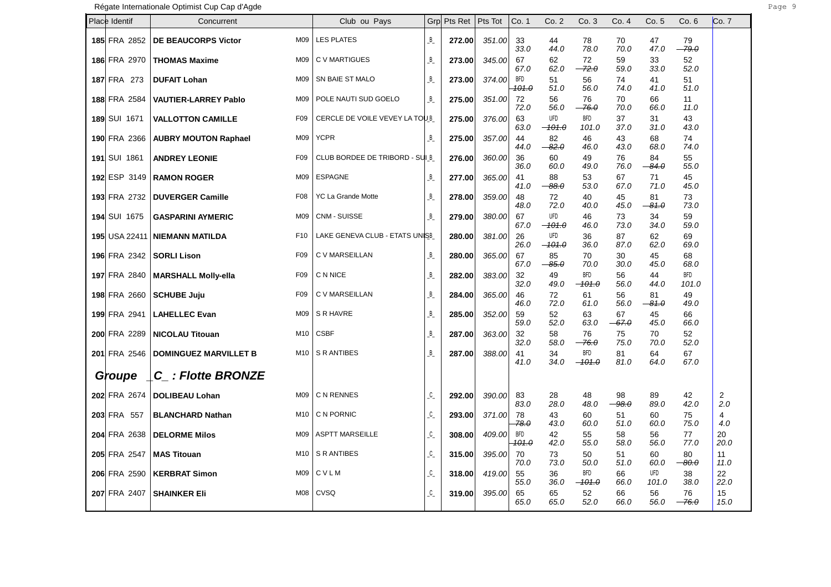Régate Internationale Optimist Cup Cap d'Agde **Page 19** Page 19 and 2011 and 2012 and 2013

| Place Identif        | Concurrent                   |                 | Club ou Pays                   |                    | Grp Pts Ret | Pts Tot | Co. 1                   | Co.2                     | Co. 3                  | Co. 4         | Co.5          | Co.6                | Co. 7      |
|----------------------|------------------------------|-----------------|--------------------------------|--------------------|-------------|---------|-------------------------|--------------------------|------------------------|---------------|---------------|---------------------|------------|
| 185 FRA 2852         | <b>DE BEAUCORPS Victor</b>   | M09             | <b>LES PLATES</b>              | $B_{-}$            | 272.00      | 351.00  | 33<br>33.0              | 44<br>44.0               | 78<br>78.0             | 70<br>70.0    | 47<br>47.0    | 79<br>-79.0         |            |
| 186 FRA 2970         | <b>THOMAS Maxime</b>         | M09             | C V MARTIGUES                  | $B_{-}$            | 273.00      | 345.00  | 67<br>67.0              | 62<br>62.0               | 72<br>$-72.0$          | 59<br>59.0    | 33<br>33.0    | 52<br>52.0          |            |
| <b>187 FRA 273</b>   | <b>DUFAIT Lohan</b>          | M09             | SN BAIE ST MALO                | B                  | 273.00      | 374.00  | <b>BFD</b><br>101.0     | 51<br>51.0               | 56<br>56.0             | 74<br>74.0    | 41<br>41.0    | 51<br>51.0          |            |
| 188 FRA 2584         | <b>VAUTIER-LARREY Pablo</b>  | M09             | POLE NAUTI SUD GOELO           | $B_{-}$            | 275.00      | 351.00  | 72<br>72.0              | 56<br>56.0               | 76<br>$-76.0$          | 70<br>70.0    | 66<br>66.0    | 11<br>11.0          |            |
| 189 SUI 1671         | <b>VALLOTTON CAMILLE</b>     | F <sub>09</sub> | CERCLE DE VOILE VEVEY LA TOUB  |                    | 275.00      | 376.00  | 63<br>63.0              | <b>UFD</b><br>$-101.0$   | <b>BFD</b><br>101.0    | 37<br>37.0    | 31<br>31.0    | 43<br>43.0          |            |
| 190 FRA 2366         | <b>AUBRY MOUTON Raphael</b>  | M09             | <b>YCPR</b>                    | $B_{-}$            | 275.00      | 357.00  | 44<br>44.0              | 82<br>$-82.0$            | 46<br>46.0             | 43<br>43.0    | 68<br>68.0    | 74<br>74.0          |            |
| 191 SUI 1861         | <b>ANDREY LEONIE</b>         | F09             | CLUB BORDEE DE TRIBORD - SUI B |                    | 276.00      | 360.00  | 36<br>36.0              | 60<br>60.0               | 49<br>49.0             | 76<br>76.0    | 84<br>$-84.0$ | 55<br>55.0          |            |
| 192 ESP 3149         | <b>RAMON ROGER</b>           | M09             | <b>ESPAGNE</b>                 | $B_{-}$            | 277.00      | 365.00  | 41<br>41.0              | 88<br>$-88.0$            | 53<br>53.0             | 67<br>67.0    | 71<br>71.0    | 45<br>45.0          |            |
| <b>193 FRA 2732</b>  | <b>DUVERGER Camille</b>      | F08             | <b>YC La Grande Motte</b>      | B                  | 278.00      | 359.00  | 48<br>48.0              | 72<br>72.0               | 40<br>40.0             | 45<br>45.0    | 81<br>$-81.0$ | 73<br>73.0          |            |
| <b>194 SUI 1675</b>  | <b>GASPARINI AYMERIC</b>     | M09             | CNM - SUISSE                   | B                  | 279.00      | 380.00  | 67<br>67.0              | UFD<br><del>-101.0</del> | 46<br>46.0             | 73<br>73.0    | 34<br>34.0    | 59<br>59.0          |            |
| <b>195 USA 22411</b> | <b>NIEMANN MATILDA</b>       | F <sub>10</sub> | LAKE GENEVA CLUB - ETATS UNISB |                    | 280.00      | 381.00  | 26<br>26.0              | UFD<br>$-101.0$          | 36<br>36.0             | 87<br>87.0    | 62<br>62.0    | 69<br>69.0          |            |
| 196 FRA 2342         | <b>SORLI Lison</b>           | F <sub>09</sub> | C V MARSEILLAN                 | B                  | 280.00      | 365.00  | 67<br>67.0              | 85<br>$-85.0$            | 70<br>70.0             | 30<br>30.0    | 45<br>45.0    | 68<br>68.0          |            |
| 197 FRA 2840         | <b>MARSHALL Molly-ella</b>   | F09             | C N NICE                       | B                  | 282.00      | 383.00  | 32<br>32.0              | 49<br>49.0               | BFD.<br>$-101.0$       | 56<br>56.0    | 44<br>44.0    | <b>BFD</b><br>101.0 |            |
| 198 FRA 2660         | <b>SCHUBE Juju</b>           | F <sub>09</sub> | C V MARSEILLAN                 | B                  | 284.00      | 365.00  | 46<br>46.0              | 72<br>72.0               | 61<br>61.0             | 56<br>56.0    | 81<br>$-81.0$ | 49<br>49.0          |            |
| 199 FRA 2941         | <b>LAHELLEC Evan</b>         | M09             | S R HAVRE                      | B                  | 285.00      | 352.00  | 59<br>59.0              | 52<br>52.0               | 63<br>63.0             | 67<br>$-67.0$ | 45<br>45.0    | 66<br>66.0          |            |
| 200 FRA 2289         | <b>NICOLAU Titouan</b>       |                 | $M10$ CSBF                     | B                  | 287.00      | 363.00  | 32<br>32.0              | 58<br>58.0               | 76<br>$-76.0$          | 75<br>75.0    | 70<br>70.0    | 52<br>52.0          |            |
| 201 FRA 2546         | <b>DOMINGUEZ MARVILLET B</b> |                 | M <sub>10</sub>   S R ANTIBES  | В                  | 287.00      | 388.00  | 41<br>41.0              | 34<br>34.0               | <b>BFD</b><br>$-101.0$ | 81<br>81.0    | 64<br>64.0    | 67<br>67.0          |            |
| Groupe               | C : Flotte BRONZE            |                 |                                |                    |             |         |                         |                          |                        |               |               |                     |            |
| 202 FRA 2674         | <b>DOLIBEAU Lohan</b>        |                 | M09   C N RENNES               | $C_{-}$            | 292.00      | 390.00  | 83<br>83.0              | 28<br>28.0               | 48<br>48.0             | 98<br>$-98.0$ | 89<br>89.0    | 42<br>42.0          | 2<br>2.0   |
| 203 FRA 557          | <b>BLANCHARD Nathan</b>      |                 | M <sub>10</sub>   C N PORNIC   | $C_{-}$            | 293.00      | 371.00  | 78<br>78.0              | 43<br>43.0               | 60<br>60.0             | 51<br>51.0    | 60<br>60.0    | 75<br>75.0          | 4<br>4.0   |
| 204 FRA 2638         | <b>DELORME Milos</b>         | M09             | <b>ASPTT MARSEILLE</b>         | $\mathfrak{c}_{-}$ | 308.00      | 409.00  | BFD<br><del>101.0</del> | 42<br>42.0               | 55<br>55.0             | 58<br>58.0    | 56<br>56.0    | 77<br>77.0          | 20<br>20.0 |
| 205 FRA 2547         | <b>MAS Titouan</b>           | M10             | S R ANTIBES                    | $\mathfrak{c}$     | 315.00      | 395.00  | 70<br>70.0              | 73<br>73.0               | 50<br>50.0             | 51<br>51.0    | 60<br>60.0    | 80<br>$-80.0$       | 11<br>11.0 |
| 206 FRA 2590         | <b>KERBRAT Simon</b>         |                 | $M09$ C V L M                  | $\mathfrak{c}$     | 318.00      | 419.00  | 55<br>55.0              | 36<br>36.0               | <b>BFD</b><br>$-101.0$ | 66<br>66.0    | UFD<br>101.0  | 38<br>38.0          | 22<br>22.0 |
| 207 FRA 2407         | <b>SHAINKER EII</b>          | <b>M08</b>      | CVSQ                           | $\mathsf{C}$       | 319.00      | 395.00  | 65<br>65.0              | 65<br>65.0               | 52<br>52.0             | 66<br>66.0    | 56<br>56.0    | 76<br>$-76.0$       | 15<br>15.0 |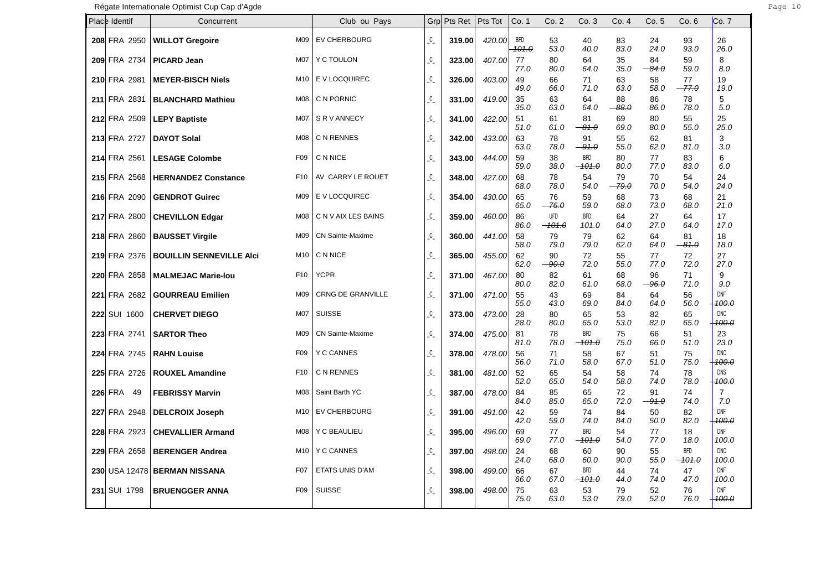| Place Identif | Concurrent                      |                 | Club ou Pays            | Grp               | Pts Ret | Pts Tot | Co. 1        | Co.2                   | Co.3                   | Co. 4         | Co. 5         | Co. 6                           | Co. 7                          |
|---------------|---------------------------------|-----------------|-------------------------|-------------------|---------|---------|--------------|------------------------|------------------------|---------------|---------------|---------------------------------|--------------------------------|
| 208 FRA 2950  | <b>WILLOT Gregoire</b>          | M09             | <b>EV CHERBOURG</b>     | $\mathcal{C}_{-}$ | 319.00  | 420.00  | BFD<br>101.0 | 53<br>53.0             | 40<br>40.0             | 83<br>83.0    | 24<br>24.0    | 93<br>93.0                      | 26<br>26.0                     |
| 209 FRA 2734  | <b>PICARD Jean</b>              | M07             | Y C TOULON              | $\mathfrak{C}$    | 323.00  | 407.00  | 77<br>77.0   | 80<br>80.0             | 64<br>64.0             | 35<br>35.0    | 84<br>-84.0   | 59<br>59.0                      | 8<br>8.0                       |
| 210 FRA 2981  | <b>MEYER-BISCH Niels</b>        | M10             | E V LOCQUIREC           | $\mathfrak{C}$    | 326.00  | 403.00  | 49<br>49.0   | 66<br>66.0             | 71<br>71.0             | 63<br>63.0    | 58<br>58.0    | 77<br>77.0                      | 19<br>19.0                     |
| 211 FRA 2831  | <b>BLANCHARD Mathieu</b>        | M08             | C N PORNIC              | $\mathfrak{c}$    | 331.00  | 419.00  | 35<br>35.0   | 63<br>63.0             | 64<br>64.0             | 88<br>$-88.0$ | 86<br>86.0    | 78<br>78.0                      | 5<br>5.0                       |
| 212 FRA 2509  | <b>LEPY Baptiste</b>            | <b>M07</b>      | S R V ANNECY            | $\mathsf{C}$      | 341.00  | 422.00  | 51<br>51.0   | 61<br>61.0             | 81<br>$-81.0$          | 69<br>69.0    | 80<br>80.0    | 55<br>55.0                      | 25<br>25.0                     |
| 213 FRA 2727  | <b>DAYOT Solal</b>              | M08             | C N RENNES              | $\mathfrak{c}$    | 342.00  | 433.00  | 63<br>63.0   | 78<br>78.0             | 91<br>$-91.0$          | 55<br>55.0    | 62<br>62.0    | 81<br>81.0                      | 3<br>3.0                       |
| 214 FRA 2561  | <b>LESAGE Colombe</b>           | F <sub>09</sub> | C N NICE                | $\overline{c}$    | 343.00  | 444.00  | 59<br>59.0   | 38<br>38.0             | <b>BFD</b><br>$-101.0$ | 80<br>80.0    | 77<br>77.0    | 83<br>83.0                      | 6<br>6.0                       |
| 215 FRA 2568  | <b>HERNANDEZ Constance</b>      | F <sub>10</sub> | AV CARRY LE ROUET       | $\mathcal{C}_{-}$ | 348.00  | 427.00  | 68<br>68.0   | 78<br>78.0             | 54<br>54.0             | 79<br>$-79.0$ | 70<br>70.0    | 54<br>54.0                      | 24<br>24.0                     |
| 216 FRA 2090  | <b>GENDROT Guirec</b>           | M09             | E V LOCQUIREC           | $\mathsf{C}$      | 354.00  | 430.00  | 65<br>65.0   | 76<br>$-76.0$          | 59<br>59.0             | 68<br>68.0    | 73<br>73.0    | 68<br>68.0                      | 21<br>21.0                     |
| 217 FRA 2800  | <b>CHEVILLON Edgar</b>          | M08             | C N V AIX LES BAINS     | $\mathsf{C}$      | 359.00  | 460.00  | 86<br>86.0   | <b>UFD</b><br>$-101.0$ | <b>BFD</b><br>101.0    | 64<br>64.0    | 27<br>27.0    | 64<br>64.0                      | 17<br>17.0                     |
| 218 FRA 2860  | <b>BAUSSET Virgile</b>          | M09             | CN Sainte-Maxime        | $\mathsf{C}$      | 360.00  | 441.00  | 58<br>58.0   | 79<br>79.0             | 79<br>79.0             | 62<br>62.0    | 64<br>64.0    | 81<br><del>81.0</del>           | 18<br>18.0                     |
| 219 FRA 2376  | <b>BOUILLIN SENNEVILLE AICI</b> | M10             | C N NICE                | $\mathcal{C}_{-}$ | 365.00  | 455.00  | 62<br>62.0   | 90<br>$-90.0$          | 72<br>72.0             | 55<br>55.0    | 77<br>77.0    | 72<br>72.0                      | 27<br>27.0                     |
| 220 FRA 2858  | <b>MALMEJAC Marie-lou</b>       | F <sub>10</sub> | <b>YCPR</b>             | $\mathcal{C}$     | 371.00  | 467.00  | 80<br>80.0   | 82<br>82.0             | 61<br>61.0             | 68<br>68.0    | 96<br>$-96.0$ | 71<br>71.0                      | 9<br>9.0                       |
| 221 FRA 2682  | <b>GOURREAU Emilien</b>         | M09             | CRNG DE GRANVILLE       | $C_{-}$           | 371.00  | 471.00  | 55<br>55.0   | 43<br>43.0             | 69<br>69.0             | 84<br>84.0    | 64<br>64.0    | 56<br>56.0                      | <b>DNF</b><br><del>100.0</del> |
| 222 SUI 1600  | <b>CHERVET DIEGO</b>            | M07             | <b>SUISSE</b>           | $\mathfrak{C}$    | 373.00  | 473.00  | 28<br>28.0   | 80<br>80.0             | 65<br>65.0             | 53<br>53.0    | 82<br>82.0    | 65<br>65.0                      | DNC<br>100.0                   |
| 223 FRA 2741  | <b>SARTOR Theo</b>              | M09             | <b>CN Sainte-Maxime</b> | $C_{-}$           | 374.00  | 475.00  | 81<br>81.0   | 78<br>78.0             | <b>BFD</b><br>$-101.0$ | 75<br>75.0    | 66<br>66.0    | 51<br>51.0                      | 23<br>23.0                     |
| 224 FRA 2745  | <b>RAHN Louise</b>              | F <sub>09</sub> | <b>Y C CANNES</b>       | $\mathcal{C}$     | 378.00  | 478.00  | 56<br>56.0   | 71<br>71.0             | 58<br>58.0             | 67<br>67.0    | 51<br>51.0    | 75<br>75.0                      | <b>DNC</b><br>100.0            |
| 225 FRA 2726  | <b>ROUXEL Amandine</b>          | F <sub>10</sub> | C N RENNES              | C                 | 381.00  | 481.00  | 52<br>52.0   | 65<br>65.0             | 54<br>54.0             | 58<br>58.0    | 74<br>74.0    | 78<br>78.0                      | DNS<br><del>100.0</del>        |
| 226 FRA<br>49 | <b>FEBRISSY Marvin</b>          | M08             | Saint Barth YC          | $\mathfrak{c}$    | 387.00  | 478.00  | 84<br>84.0   | 85<br>85.0             | 65<br>65.0             | 72<br>72.0    | 91<br>-91.0   | 74<br>74.0                      | $\overline{7}$<br>7.0          |
| 227 FRA 2948  | <b>DELCROIX Joseph</b>          | M10             | EV CHERBOURG            | $\mathfrak{c}$    | 391.00  | 491.00  | 42<br>42.0   | 59<br>59.0             | 74<br>74.0             | 84<br>84.0    | 50<br>50.0    | 82<br>82.0                      | <b>DNF</b><br><del>100.0</del> |
| 228 FRA 2923  | <b>CHEVALLIER Armand</b>        | M08             | Y C BEAULIEU            | $\mathsf{C}$      | 395.00  | 496.00  | 69<br>69.0   | 77<br>77.0             | <b>BFD</b><br>$-101.0$ | 54<br>54.0    | 77<br>77.0    | 18<br>18.0                      | <b>DNF</b><br>100.0            |
| 229 FRA 2658  | <b>BERENGER Andrea</b>          | M10             | Y C CANNES              | $\mathsf{C}$      | 397.00  | 498.00  | 24<br>24.0   | 68<br>68.0             | 60<br>60.0             | 90<br>90.0    | 55<br>55.0    | <b>BFD</b><br><del>-101.0</del> | <b>DNC</b><br>100.0            |
|               | 230 USA 12478 BERMAN NISSANA    | F07             | ETATS UNIS D'AM         | $\mathsf{C}$      | 398.00  | 499.00  | 66<br>66.0   | 67<br>67.0             | <b>BFD</b><br>$-101.0$ | 44<br>44.0    | 74<br>74.0    | 47<br>47.0                      | <b>DNF</b><br>100.0            |
| 231 SUI 1798  | <b>BRUENGGER ANNA</b>           | F09             | <b>SUISSE</b>           | $\mathsf{C}$      | 398.00  | 498.00  | 75<br>75.0   | 63<br>63.0             | 53<br>53.0             | 79<br>79.0    | 52<br>52.0    | 76<br>76.0                      | <b>DNF</b><br>100.O            |

٦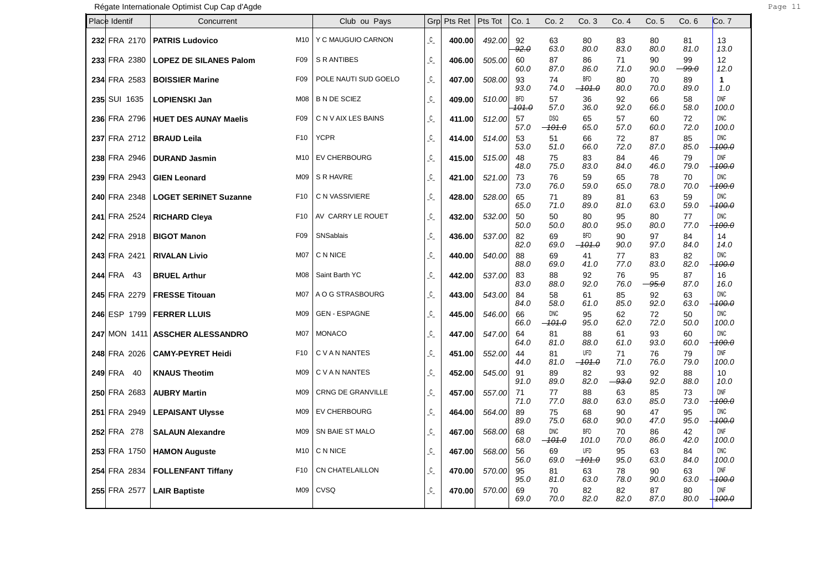| Place Identif  |              | Concurrent                    |                 | Club ou Pays             | Grp                | Pts Ret | Pts Tot | Co. 1                          | Co.2                   | Co. 3                  | Co. 4         | Co. 5         | Co.6          | Co. 7                          |
|----------------|--------------|-------------------------------|-----------------|--------------------------|--------------------|---------|---------|--------------------------------|------------------------|------------------------|---------------|---------------|---------------|--------------------------------|
|                | 232 FRA 2170 | <b>PATRIS Ludovico</b>        | M10             | Y C MAUGUIO CARNON       | $\mathcal{C}_{-}$  | 400.00  | 492.00  | 92<br>92.0                     | 63<br>63.0             | 80<br>80.0             | 83<br>83.0    | 80<br>80.0    | 81<br>81.0    | 13<br>13.0                     |
|                | 233 FRA 2380 | <b>LOPEZ DE SILANES Palom</b> | F <sub>09</sub> | S R ANTIBES              | $\mathfrak{c}_{-}$ | 406.00  | 505.00  | 60<br>60.0                     | 87<br>87.0             | 86<br>86.0             | 71<br>71.0    | 90<br>90.0    | 99<br>$-99.0$ | 12<br>12.0                     |
|                | 234 FRA 2583 | <b>BOISSIER Marine</b>        | F <sub>09</sub> | POLE NAUTI SUD GOELO     | $\mathfrak{c}$     | 407.00  | 508.00  | 93<br>93.0                     | 74<br>74.0             | <b>BFD</b><br>$-101.0$ | 80<br>80.0    | 70<br>70.0    | 89<br>89.0    | $\mathbf{1}$<br>1.0            |
|                | 235 SUI 1635 | <b>LOPIENSKI Jan</b>          | <b>M08</b>      | <b>B N DE SCIEZ</b>      | C                  | 409.00  | 510.00  | <b>BFD</b><br><del>101.0</del> | 57<br>57.0             | 36<br>36.0             | 92<br>92.0    | 66<br>66.0    | 58<br>58.0    | <b>DNF</b><br>100.0            |
|                | 236 FRA 2796 | <b>HUET DES AUNAY Maelis</b>  | F <sub>09</sub> | C N V AIX LES BAINS      | $\mathsf{C}$       | 411.00  | 512.00  | 57<br>57.0                     | <b>DSQ</b><br>$-101.0$ | 65<br>65.0             | 57<br>57.0    | 60<br>60.0    | 72<br>72.0    | <b>DNC</b><br>100.0            |
|                | 237 FRA 2712 | <b>BRAUD Leila</b>            | F <sub>10</sub> | <b>YCPR</b>              | $\mathsf{C}$       | 414.00  | 514.00  | 53<br>53.0                     | 51<br>51.0             | 66<br>66.0             | 72<br>72.0    | 87<br>87.0    | 85<br>85.0    | <b>DNC</b><br>$+100.0$         |
|                | 238 FRA 2946 | <b>DURAND Jasmin</b>          | M10             | <b>EV CHERBOURG</b>      | $\mathsf{C}$       | 415.00  | 515.00  | 48<br>48.0                     | 75<br>75.0             | 83<br>83.0             | 84<br>84.0    | 46<br>46.0    | 79<br>79.0    | <b>DNF</b><br>$+100.0$         |
|                | 239 FRA 2943 | <b>GIEN Leonard</b>           | M09             | S R HAVRE                | $\mathsf{C}$       | 421.00  | 521.00  | 73<br>73.0                     | 76<br>76.0             | 59<br>59.0             | 65<br>65.0    | 78<br>78.0    | 70<br>70.0    | <b>DNC</b><br>$+100.0$         |
|                | 240 FRA 2348 | <b>LOGET SERINET Suzanne</b>  | F <sub>10</sub> | C N VASSIVIERE           | $\mathsf{C}$       | 428.00  | 528.00  | 65<br>65.0                     | 71<br>71.0             | 89<br>89.0             | 81<br>81.0    | 63<br>63.0    | 59<br>59.0    | <b>DNC</b><br>$+100.0$         |
|                | 241 FRA 2524 | <b>RICHARD Cleva</b>          | F <sub>10</sub> | AV CARRY LE ROUET        | $\mathcal{C}_{-}$  | 432.00  | 532.00  | 50<br>50.0                     | 50<br>50.0             | 80<br>80.0             | 95<br>95.0    | 80<br>80.0    | 77<br>77.0    | <b>DNC</b><br>$+100.0$         |
|                | 242 FRA 2918 | <b>BIGOT Manon</b>            | F <sub>09</sub> | SNSablais                | $\mathsf{C}$       | 436.00  | 537.00  | 82<br>82.0                     | 69<br>69.0             | <b>BFD</b><br>$-101.0$ | 90<br>90.0    | 97<br>97.0    | 84<br>84.0    | 14<br>14.0                     |
|                | 243 FRA 2421 | <b>RIVALAN Livio</b>          | M07             | C N NICE                 | $C_{-}$            | 440.00  | 540.00  | 88<br>88.0                     | 69<br>69.0             | 41<br>41.0             | 77<br>77.0    | 83<br>83.0    | 82<br>82.0    | <b>DNC</b><br><del>100.0</del> |
| <b>244 FRA</b> | 43           | <b>BRUEL Arthur</b>           | <b>M08</b>      | Saint Barth YC           | $\mathcal{C}_{-}$  | 442.00  | 537.00  | 83<br>83.0                     | 88<br>88.0             | 92<br>92.0             | 76<br>76.0    | 95<br>$-95.0$ | 87<br>87.0    | 16<br>16.0                     |
|                | 245 FRA 2279 | <b>FRESSE Titouan</b>         | M07             | A O G STRASBOURG         | $C_{-}$            | 443.00  | 543.00  | 84<br>84.0                     | 58<br>58.0             | 61<br>61.0             | 85<br>85.0    | 92<br>92.0    | 63<br>63.0    | <b>DNC</b><br><del>100.0</del> |
|                | 246 ESP 1799 | <b>FERRER LLUIS</b>           | M09             | <b>GEN - ESPAGNE</b>     | $\mathfrak{c}$     | 445.00  | 546.00  | 66<br>66.0                     | DNC<br>$-101.0$        | 95<br>95.0             | 62<br>62.0    | 72<br>72.0    | 50<br>50.0    | DNC<br>100.0                   |
|                | 247 MON 1411 | <b>ASSCHER ALESSANDRO</b>     | M07             | <b>MONACO</b>            | $C_{-}$            | 447.00  | 547.00  | 64<br>64.0                     | 81<br>81.0             | 88<br>88.0             | 61<br>61.0    | 93<br>93.0    | 60<br>60.0    | <b>DNC</b><br>100.0            |
|                | 248 FRA 2026 | <b>CAMY-PEYRET Heidi</b>      | F <sub>10</sub> | C V A N NANTES           | $\mathfrak{c}$     | 451.00  | 552.00  | 44<br>44.0                     | 81<br>81.0             | <b>UFD</b><br>$-101.0$ | 71<br>71.0    | 76<br>76.0    | 79<br>79.0    | DNF<br>100.0                   |
| <b>249 FRA</b> | 40           | <b>KNAUS Theotim</b>          | M09             | C V A N NANTES           | $\mathcal{C}_{-}$  | 452.00  | 545.00  | 91<br>91.0                     | 89<br>89.0             | 82<br>82.0             | 93<br>$-93.0$ | 92<br>92.0    | 88<br>88.0    | 10<br>10.0                     |
|                | 250 FRA 2683 | <b>AUBRY Martin</b>           | M09             | <b>CRNG DE GRANVILLE</b> | C                  | 457.00  | 557.00  | 71<br>71.0                     | 77<br>77.0             | 88<br>88.0             | 63<br>63.0    | 85<br>85.0    | 73<br>73.0    | <b>DNF</b><br>$+100.0$         |
|                | 251 FRA 2949 | <b>LEPAISANT Ulysse</b>       | M09             | <b>EV CHERBOURG</b>      | $\mathcal{C}_{-}$  | 464.00  | 564.00  | 89<br>89.0                     | 75<br>75.0             | 68<br>68.0             | 90<br>90.0    | 47<br>47.0    | 95<br>95.0    | <b>DNC</b><br><del>100.0</del> |
|                | 252 FRA 278  | <b>SALAUN Alexandre</b>       | M09             | SN BAIE ST MALO          | $\mathsf{C}$       | 467.00  | 568.00  | 68<br>68.0                     | <b>DNC</b><br>$-101.0$ | <b>BFD</b><br>101.0    | 70<br>70.0    | 86<br>86.0    | 42<br>42.0    | <b>DNF</b><br>100.0            |
|                | 253 FRA 1750 | <b>HAMON Auguste</b>          | M10             | C N NICE                 | $\mathcal{C}_{-}$  | 467.00  | 568.00  | 56<br>56.0                     | 69<br>69.0             | <b>UFD</b><br>$-101.0$ | 95<br>95.0    | 63<br>63.0    | 84<br>84.0    | <b>DNC</b><br>100.0            |
|                | 254 FRA 2834 | <b>FOLLENFANT Tiffany</b>     | F <sub>10</sub> | <b>CN CHATELAILLON</b>   | $\mathsf{C}$       | 470.00  | 570.00  | 95<br>95.0                     | 81<br>81.0             | 63<br>63.0             | 78<br>78.0    | 90<br>90.0    | 63<br>63.0    | <b>DNF</b><br><del>100.0</del> |
|                | 255 FRA 2577 | <b>LAIR Baptiste</b>          | M09             | <b>CVSQ</b>              | $\mathsf{C}$       | 470.00  | 570.00  | 69<br>69.0                     | 70<br>70.0             | 82<br>82.0             | 82<br>82.0    | 87<br>87.0    | 80<br>80.0    | <b>DNF</b><br>$+100.0$         |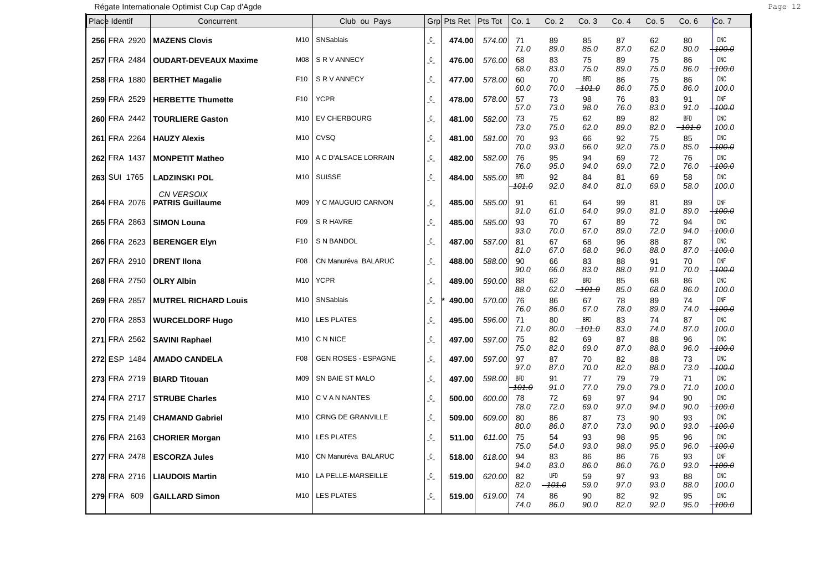| Place Identif | Concurrent                            |                 | Club ou Pays               |                                        | Grp Pts Ret | Pts Tot | Co. 1                          | Co.2                   | Co.3                   | Co. 4              | Co. 5              | Co.6                           | Co. 7                                   |
|---------------|---------------------------------------|-----------------|----------------------------|----------------------------------------|-------------|---------|--------------------------------|------------------------|------------------------|--------------------|--------------------|--------------------------------|-----------------------------------------|
| 256 FRA 2920  | <b>MAZENS Clovis</b>                  | M10             | SNSablais                  | $\mathfrak{c}$                         | 474.00      | 574.00  | 71<br>71.0                     | 89<br>89.0             | 85<br>85.0             | 87<br>87.0         | 62<br>62.0         | 80<br>80.0                     | <b>DNC</b><br>100.0                     |
| 257 FRA 2484  | <b>OUDART-DEVEAUX Maxime</b>          | <b>M08</b>      | S R V ANNECY               | $\mathfrak{c}$                         | 476.00      | 576.00  | 68<br>68.0                     | 83<br>83.0             | 75<br>75.0             | 89<br>89.0         | 75<br>75.0         | 86<br>86.0                     | <b>DNC</b><br><del>100.0</del>          |
| 258 FRA 1880  | <b>BERTHET Magalie</b>                | F <sub>10</sub> | S R V ANNECY               | $\mathfrak{c}_{-}$                     | 477.00      | 578.00  | 60<br>60.0                     | 70<br>70.0             | <b>BFD</b><br>$-101.0$ | 86<br>86.0         | 75<br>75.0         | 86<br>86.0                     | <b>DNC</b><br>100.0                     |
| 259 FRA 2529  | <b>HERBETTE Thumette</b>              | F <sub>10</sub> | <b>YCPR</b>                | $\mathfrak{c}$                         | 478.00      | 578.00  | 57                             | 73                     | 98                     | 76                 | 83                 | 91                             | <b>DNF</b>                              |
| 260 FRA 2442  | <b>TOURLIERE Gaston</b>               | M10             | <b>EV CHERBOURG</b>        | $\mathfrak{c}$                         | 481.00      | 582.00  | 57.0<br>73<br>73.0             | 73.0<br>75<br>75.0     | 98.0<br>62<br>62.0     | 76.0<br>89<br>89.0 | 83.0<br>82<br>82.0 | 91.0<br><b>BFD</b><br>$-101.0$ | <del>100.0</del><br><b>DNC</b><br>100.0 |
| 261 FRA 2264  | <b>HAUZY Alexis</b>                   | M10             | <b>CVSQ</b>                | $\mathfrak{c}$                         | 481.00      | 581.00  | 70<br>70.0                     | 93<br>93.0             | 66<br>66.0             | 92<br>92.0         | 75<br>75.0         | 85<br>85.0                     | <b>DNC</b><br><del>100.0</del>          |
| 262 FRA 1437  | <b>MONPETIT Matheo</b>                | M10             | A C D'ALSACE LORRAIN       | $\mathfrak{c}$                         | 482.00      | 582.00  | 76<br>76.0                     | 95<br>95.0             | 94<br>94.0             | 69<br>69.0         | 72<br>72.0         | 76<br>76.0                     | <b>DNC</b><br><del>100.0</del>          |
| 263 SUI 1765  | <b>LADZINSKI POL</b>                  | M10             | <b>SUISSE</b>              | $\mathfrak{c}$                         | 484.00      | 585.00  | <b>BFD</b><br><del>101.0</del> | 92<br>92.0             | 84<br>84.0             | 81<br>81.0         | 69<br>69.0         | 58<br>58.0                     | <b>DNC</b><br>100.0                     |
| 264 FRA 2076  | CN VERSOIX<br><b>PATRIS Guillaume</b> | M09             | Y C MAUGUIO CARNON         | $\mathfrak{c}$                         | 485.00      | 585.00  | 91<br>91.0                     | 61<br>61.0             | 64<br>64.0             | 99<br>99.0         | 81<br>81.0         | 89<br>89.0                     | DNF<br><del>100.0</del>                 |
| 265 FRA 2863  | <b>SIMON Louna</b>                    | F <sub>09</sub> | S R HAVRE                  | $\mathfrak{c}$                         | 485.00      | 585.00  | 93<br>93.0                     | 70<br>70.0             | 67<br>67.0             | 89<br>89.0         | 72<br>72.0         | 94<br>94.0                     | <b>DNC</b><br><del>100.0</del>          |
| 266 FRA 2623  | <b>BERENGER Elyn</b>                  | F <sub>10</sub> | S N BANDOL                 | $\mathfrak{c}$                         | 487.00      | 587.00  | 81<br>81.0                     | 67<br>67.0             | 68<br>68.0             | 96<br>96.0         | 88<br>88.0         | 87<br>87.0                     | <b>DNC</b><br><del>100.0</del>          |
| 267 FRA 2910  | <b>DRENT IIona</b>                    | F08             | CN Manuréva BALARUC        | $\mathfrak{c}$                         | 488.00      | 588.00  | 90<br>90.0                     | 66<br>66.0             | 83<br>83.0             | 88<br>88.0         | 91<br>91.0         | 70<br>70.0                     | DNF<br>100.0                            |
| 268 FRA 2750  | <b>OLRY Albin</b>                     | M10             | <b>YCPR</b>                | $\mathfrak{c}$                         | 489.00      | 590.00  | 88<br>88.0                     | 62<br>62.0             | BFD<br>$-101.0$        | 85<br>85.0         | 68<br>68.0         | 86<br>86.0                     | <b>DNC</b><br>100.0                     |
| 269 FRA 2857  | <b>MUTREL RICHARD Louis</b>           | M10             | SNSablais                  | $\mathfrak{c}_{\scriptscriptstyle{-}}$ | 490.00      | 570.00  | 76<br>76.0                     | 86<br>86.0             | 67<br>67.0             | 78<br>78.0         | 89<br>89.0         | 74<br>74.0                     | <b>DNF</b><br><del>100.0</del>          |
| 270 FRA 2853  | <b>WURCELDORF Hugo</b>                | M10             | <b>LES PLATES</b>          | $\mathfrak{c}$                         | 495.00      | 596.00  | 71<br>71.0                     | 80<br>80.0             | <b>BFD</b><br>$-101.0$ | 83<br>83.0         | 74<br>74.0         | 87<br>87.0                     | <b>DNC</b><br>100.0                     |
| 271 FRA 2562  | <b>SAVINI Raphael</b>                 | M10             | C N NICE                   | $\mathfrak{c}_{-}$                     | 497.00      | 597.00  | 75<br>75.0                     | 82<br>82.0             | 69<br>69.0             | 87<br>87.0         | 88<br>88.0         | 96<br>96.0                     | <b>DNC</b><br><del>100.0</del>          |
| 272 ESP 1484  | <b>AMADO CANDELA</b>                  | F <sub>08</sub> | <b>GEN ROSES - ESPAGNE</b> | $\mathfrak{c}_{-}$                     | 497.00      | 597.00  | 97<br>97.0                     | 87<br>87.0             | 70<br>70.0             | 82<br>82.0         | 88<br>88.0         | 73<br>73.0                     | <b>DNC</b><br><del>100.0</del>          |
| 273 FRA 2719  | <b>BIARD Titouan</b>                  | M09             | SN BAIE ST MALO            | $\mathfrak{c}_{-}$                     | 497.00      | 598.00  | <b>BFD</b><br><del>101.0</del> | 91<br>91.0             | 77<br>77.0             | 79<br>79.0         | 79<br>79.0         | 71<br>71.0                     | <b>DNC</b><br>100.0                     |
| 274 FRA 2717  | <b>STRUBE Charles</b>                 | M10             | C V A N NANTES             | $\mathcal{C}_-$                        | 500.00      | 600.00  | 78<br>78.0                     | 72<br>72.0             | 69<br>69.0             | 97<br>97.0         | 94<br>94.0         | 90<br>90.0                     | <b>DNC</b><br>100.0                     |
| 275 FRA 2149  | <b>CHAMAND Gabriel</b>                | M <sub>10</sub> | <b>CRNG DE GRANVILLE</b>   | $\mathfrak{c}_{-}$                     | 509.00      | 609.00  | 80<br>80.0                     | 86<br>86.0             | 87<br>87.0             | 73<br>73.0         | 90<br>90.0         | 93<br>93.0                     | <b>DNC</b><br><del>100.0</del>          |
| 276 FRA 2163  | <b>CHORIER Morgan</b>                 | M10             | <b>LES PLATES</b>          | $\mathcal{C}_-$                        | 511.00      | 611.00  | 75<br>75.0                     | 54<br>54.0             | 93<br>93.0             | 98<br>98.0         | 95<br>95.0         | 96<br>96.0                     | DNC<br><del>100.0</del>                 |
| 277 FRA 2478  | <b>ESCORZA Jules</b>                  | M10             | CN Manuréva BALARUC        | $\mathcal{C}_-$                        | 518.00      | 618.00  | 94<br>94.0                     | 83<br>83.0             | 86<br>86.0             | 86<br>86.0         | 76<br>76.0         | 93<br>93.0                     | <b>DNF</b><br><del>100.0</del>          |
| 278 FRA 2716  | <b>LIAUDOIS Martin</b>                | M10             | LA PELLE-MARSEILLE         | $\mathcal{C}_-$                        | 519.00      | 620.00  | 82<br>82.0                     | <b>UFD</b><br>$-101.0$ | 59<br>59.0             | 97<br>97.0         | 93<br>93.0         | 88<br>88.0                     | <b>DNC</b><br>100.0                     |
| 279 FRA 609   | <b>GAILLARD Simon</b>                 | M10             | <b>LES PLATES</b>          | $\mathfrak{c}$                         | 519.00      | 619.00  | 74<br>74.0                     | 86<br>86.0             | 90<br>90.0             | 82<br>82.0         | 92<br>92.0         | 95<br>95.0                     | <b>DNC</b><br>$+100.0$                  |

٦